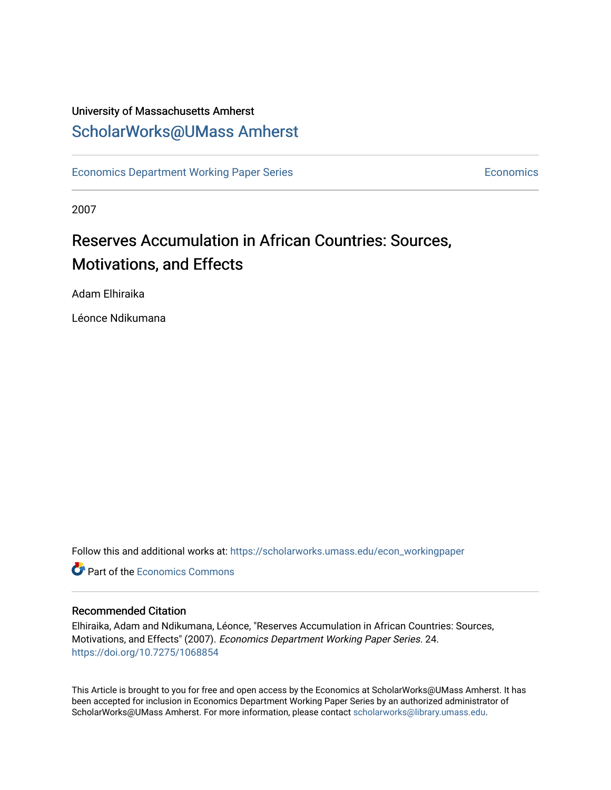# University of Massachusetts Amherst [ScholarWorks@UMass Amherst](https://scholarworks.umass.edu/)

[Economics Department Working Paper Series](https://scholarworks.umass.edu/econ_workingpaper) **Economics** Economics

2007

# Reserves Accumulation in African Countries: Sources, Motivations, and Effects

Adam Elhiraika

Léonce Ndikumana

Follow this and additional works at: [https://scholarworks.umass.edu/econ\\_workingpaper](https://scholarworks.umass.edu/econ_workingpaper?utm_source=scholarworks.umass.edu%2Fecon_workingpaper%2F24&utm_medium=PDF&utm_campaign=PDFCoverPages) 

**C** Part of the [Economics Commons](http://network.bepress.com/hgg/discipline/340?utm_source=scholarworks.umass.edu%2Fecon_workingpaper%2F24&utm_medium=PDF&utm_campaign=PDFCoverPages)

#### Recommended Citation

Elhiraika, Adam and Ndikumana, Léonce, "Reserves Accumulation in African Countries: Sources, Motivations, and Effects" (2007). Economics Department Working Paper Series. 24. <https://doi.org/10.7275/1068854>

This Article is brought to you for free and open access by the Economics at ScholarWorks@UMass Amherst. It has been accepted for inclusion in Economics Department Working Paper Series by an authorized administrator of ScholarWorks@UMass Amherst. For more information, please contact [scholarworks@library.umass.edu.](mailto:scholarworks@library.umass.edu)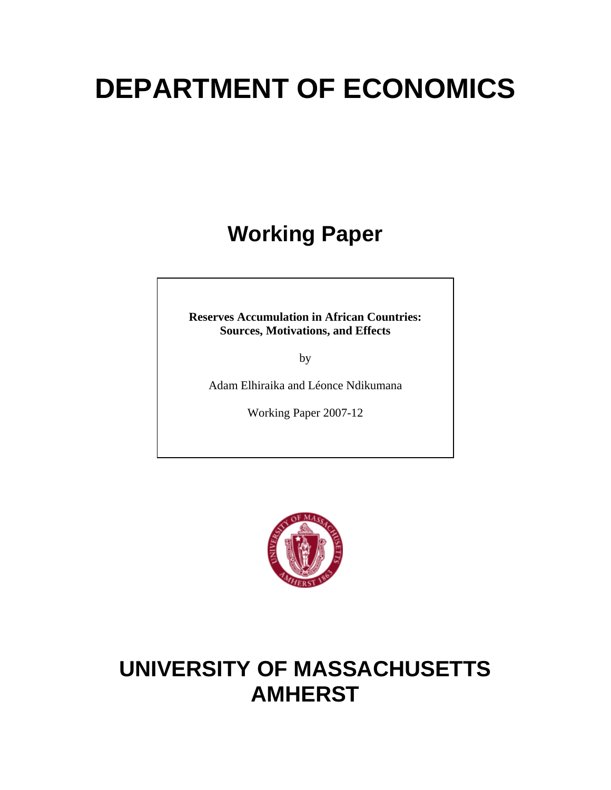# **DEPARTMENT OF ECONOMICS**

# **Working Paper**

**Reserves Accumulation in African Countries: Sources, Motivations, and Effects**

by

Adam Elhiraika and Léonce Ndikumana

Working Paper 2007-12



# **UNIVERSITY OF MASSACHUSETTS AMHERST**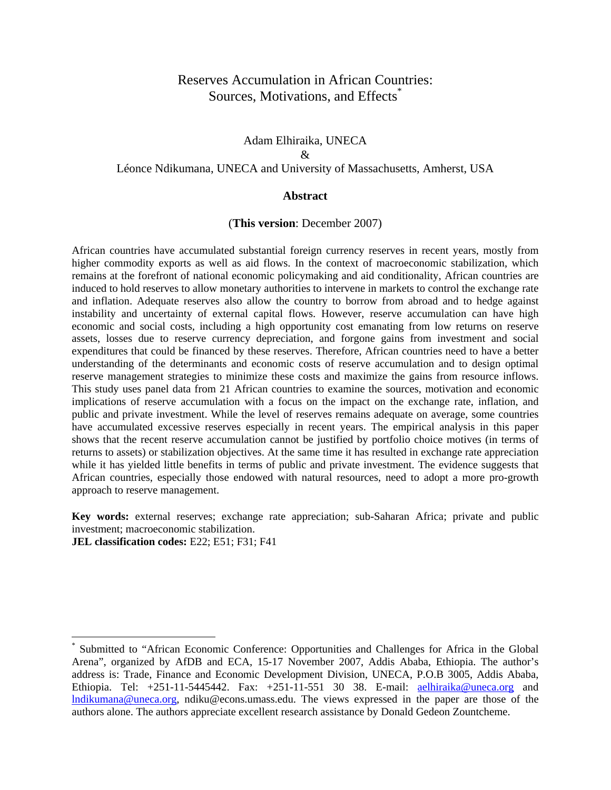# Reserves Accumulation in African Countries: Sources, Motivations, and Effects<sup>[\\*](#page-2-0)</sup>

# Adam Elhiraika, UNECA  $\mathcal{R}$ Léonce Ndikumana, UNECA and University of Massachusetts, Amherst, USA

#### **Abstract**

#### (**This version**: December 2007)

African countries have accumulated substantial foreign currency reserves in recent years, mostly from higher commodity exports as well as aid flows. In the context of macroeconomic stabilization, which remains at the forefront of national economic policymaking and aid conditionality, African countries are induced to hold reserves to allow monetary authorities to intervene in markets to control the exchange rate and inflation. Adequate reserves also allow the country to borrow from abroad and to hedge against instability and uncertainty of external capital flows. However, reserve accumulation can have high economic and social costs, including a high opportunity cost emanating from low returns on reserve assets, losses due to reserve currency depreciation, and forgone gains from investment and social expenditures that could be financed by these reserves. Therefore, African countries need to have a better understanding of the determinants and economic costs of reserve accumulation and to design optimal reserve management strategies to minimize these costs and maximize the gains from resource inflows. This study uses panel data from 21 African countries to examine the sources, motivation and economic implications of reserve accumulation with a focus on the impact on the exchange rate, inflation, and public and private investment. While the level of reserves remains adequate on average, some countries have accumulated excessive reserves especially in recent years. The empirical analysis in this paper shows that the recent reserve accumulation cannot be justified by portfolio choice motives (in terms of returns to assets) or stabilization objectives. At the same time it has resulted in exchange rate appreciation while it has yielded little benefits in terms of public and private investment. The evidence suggests that African countries, especially those endowed with natural resources, need to adopt a more pro-growth approach to reserve management.

**Key words:** external reserves; exchange rate appreciation; sub-Saharan Africa; private and public investment; macroeconomic stabilization.

**JEL classification codes:** E22; E51; F31; F41

 $\overline{a}$ 

<span id="page-2-0"></span><sup>\*</sup> Submitted to "African Economic Conference: Opportunities and Challenges for Africa in the Global Arena", organized by AfDB and ECA, 15-17 November 2007, Addis Ababa, Ethiopia. The author's address is: Trade, Finance and Economic Development Division, UNECA, P.O.B 3005, Addis Ababa, Ethiopia. Tel: +251-11-5445442. Fax: +251-11-551 30 38. E-mail: [aelhiraika@uneca.org](mailto:aelhiraika@uneca.org) and [lndikumana@uneca.org](mailto:lndikumana@uneca.org), ndiku@econs.umass.edu. The views expressed in the paper are those of the authors alone. The authors appreciate excellent research assistance by Donald Gedeon Zountcheme.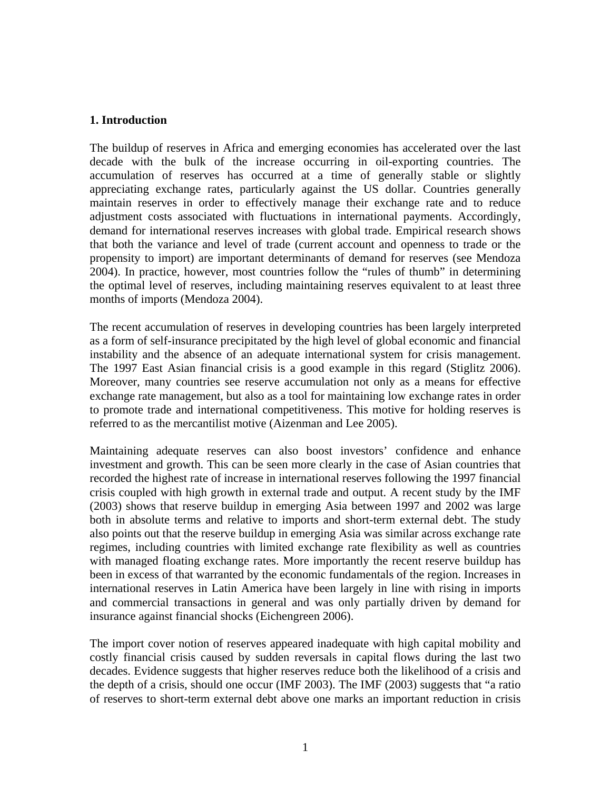# **1. Introduction**

The buildup of reserves in Africa and emerging economies has accelerated over the last decade with the bulk of the increase occurring in oil-exporting countries. The accumulation of reserves has occurred at a time of generally stable or slightly appreciating exchange rates, particularly against the US dollar. Countries generally maintain reserves in order to effectively manage their exchange rate and to reduce adjustment costs associated with fluctuations in international payments. Accordingly, demand for international reserves increases with global trade. Empirical research shows that both the variance and level of trade (current account and openness to trade or the propensity to import) are important determinants of demand for reserves (see Mendoza 2004). In practice, however, most countries follow the "rules of thumb" in determining the optimal level of reserves, including maintaining reserves equivalent to at least three months of imports (Mendoza 2004).

The recent accumulation of reserves in developing countries has been largely interpreted as a form of self-insurance precipitated by the high level of global economic and financial instability and the absence of an adequate international system for crisis management. The 1997 East Asian financial crisis is a good example in this regard (Stiglitz 2006). Moreover, many countries see reserve accumulation not only as a means for effective exchange rate management, but also as a tool for maintaining low exchange rates in order to promote trade and international competitiveness. This motive for holding reserves is referred to as the mercantilist motive (Aizenman and Lee 2005).

Maintaining adequate reserves can also boost investors' confidence and enhance investment and growth. This can be seen more clearly in the case of Asian countries that recorded the highest rate of increase in international reserves following the 1997 financial crisis coupled with high growth in external trade and output. A recent study by the IMF (2003) shows that reserve buildup in emerging Asia between 1997 and 2002 was large both in absolute terms and relative to imports and short-term external debt. The study also points out that the reserve buildup in emerging Asia was similar across exchange rate regimes, including countries with limited exchange rate flexibility as well as countries with managed floating exchange rates. More importantly the recent reserve buildup has been in excess of that warranted by the economic fundamentals of the region. Increases in international reserves in Latin America have been largely in line with rising in imports and commercial transactions in general and was only partially driven by demand for insurance against financial shocks (Eichengreen 2006).

The import cover notion of reserves appeared inadequate with high capital mobility and costly financial crisis caused by sudden reversals in capital flows during the last two decades. Evidence suggests that higher reserves reduce both the likelihood of a crisis and the depth of a crisis, should one occur (IMF 2003). The IMF (2003) suggests that "a ratio of reserves to short-term external debt above one marks an important reduction in crisis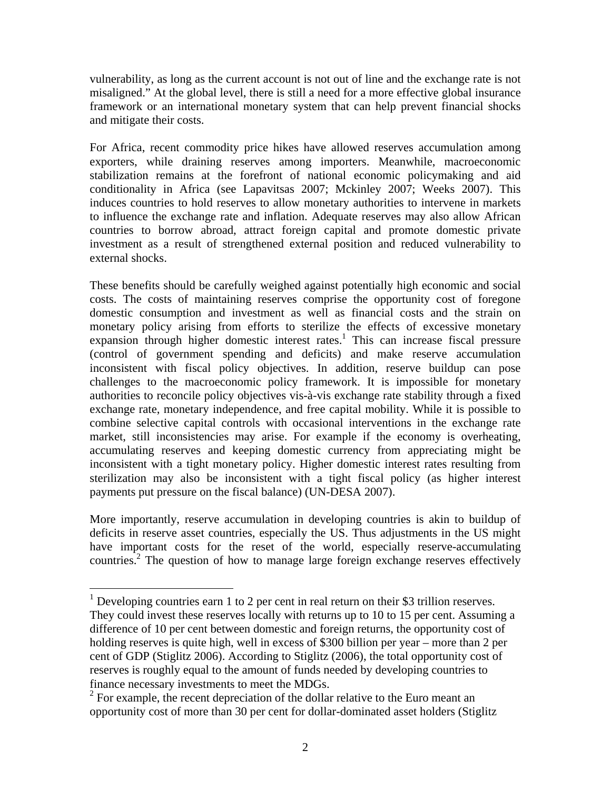<span id="page-4-1"></span>vulnerability, as long as the current account is not out of line and the exchange rate is not misaligned." At the global level, there is still a need for a more effective global insurance framework or an international monetary system that can help prevent financial shocks and mitigate their costs.

For Africa, recent commodity price hikes have allowed reserves accumulation among exporters, while draining reserves among importers. Meanwhile, macroeconomic stabilization remains at the forefront of national economic policymaking and aid conditionality in Africa (see Lapavitsas 2007; Mckinley 2007; Weeks 2007). This induces countries to hold reserves to allow monetary authorities to intervene in markets to influence the exchange rate and inflation. Adequate reserves may also allow African countries to borrow abroad, attract foreign capital and promote domestic private investment as a result of strengthened external position and reduced vulnerability to external shocks.

These benefits should be carefully weighed against potentially high economic and social costs. The costs of maintaining reserves comprise the opportunity cost of foregone domestic consumption and investment as well as financial costs and the strain on monetary policy arising from efforts to sterilize the effects of excessive monetary expansion through higher domestic interest rates.<sup>[1](#page-4-0)</sup> This can increase fiscal pressure (control of government spending and deficits) and make reserve accumulation inconsistent with fiscal policy objectives. In addition, reserve buildup can pose challenges to the macroeconomic policy framework. It is impossible for monetary authorities to reconcile policy objectives vis-à-vis exchange rate stability through a fixed exchange rate, monetary independence, and free capital mobility. While it is possible to combine selective capital controls with occasional interventions in the exchange rate market, still inconsistencies may arise. For example if the economy is overheating, accumulating reserves and keeping domestic currency from appreciating might be inconsistent with a tight monetary policy. Higher domestic interest rates resulting from sterilization may also be inconsistent with a tight fiscal policy (as higher interest payments put pressure on the fiscal balance) (UN-DESA 2007).

More importantly, reserve accumulation in developing countries is akin to buildup of deficits in reserve asset countries, especially the US. Thus adjustments in the US might have important costs for the reset of the world, especially reserve-accumulating countries.<sup>2</sup> The question of how to manage large foreign exchange reserves effectively

 $\overline{a}$ 

<span id="page-4-0"></span><sup>&</sup>lt;sup>1</sup> Developing countries earn 1 to 2 per cent in real return on their \$3 trillion reserves. They could invest these reserves locally with returns up to 10 to 15 per cent. Assuming a difference of 10 per cent between domestic and foreign returns, the opportunity cost of holding reserves is quite high, well in excess of \$300 billion per year – more than 2 per cent of GDP (Stiglitz 2006). According to Stiglitz (2006), the total opportunity cost of reserves is roughly equal to the amount of funds needed by developing countries to finance necessary investments to meet the MDGs.

 $2^2$  For example, the recent depreciation of the dollar relative to the Euro meant an opportunity cost of more than 30 per cent for dollar-dominated asset holders (Stiglitz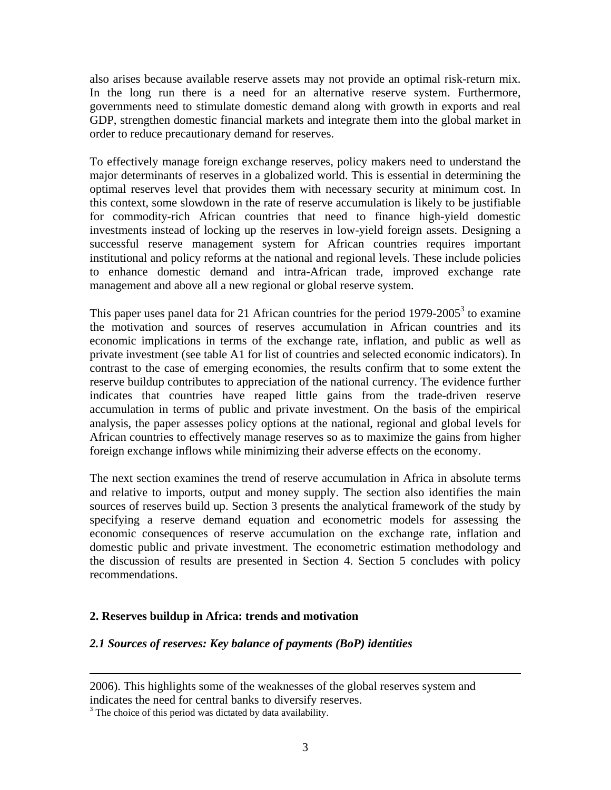also arises because available reserve assets may not provide an optimal risk-return mix. In the long run there is a need for an alternative reserve system. Furthermore, governments need to stimulate domestic demand along with growth in exports and real GDP, strengthen domestic financial markets and integrate them into the global market in order to reduce precautionary demand for reserves.

To effectively manage foreign exchange reserves, policy makers need to understand the major determinants of reserves in a globalized world. This is essential in determining the optimal reserves level that provides them with necessary security at minimum cost. In this context, some slowdown in the rate of reserve accumulation is likely to be justifiable for commodity-rich African countries that need to finance high-yield domestic investments instead of locking up the reserves in low-yield foreign assets. Designing a successful reserve management system for African countries requires important institutional and policy reforms at the national and regional levels. These include policies to enhance domestic demand and intra-African trade, improved exchange rate management and above all a new regional or global reserve system.

This paper uses panel data for 21 African countries for the period  $1979-2005^3$  $1979-2005^3$  to examine the motivation and sources of reserves accumulation in African countries and its economic implications in terms of the exchange rate, inflation, and public as well as private investment (see table A1 for list of countries and selected economic indicators). In contrast to the case of emerging economies, the results confirm that to some extent the reserve buildup contributes to appreciation of the national currency. The evidence further indicates that countries have reaped little gains from the trade-driven reserve accumulation in terms of public and private investment. On the basis of the empirical analysis, the paper assesses policy options at the national, regional and global levels for African countries to effectively manage reserves so as to maximize the gains from higher foreign exchange inflows while minimizing their adverse effects on the economy.

The next section examines the trend of reserve accumulation in Africa in absolute terms and relative to imports, output and money supply. The section also identifies the main sources of reserves build up. Section 3 presents the analytical framework of the study by specifying a reserve demand equation and econometric models for assessing the economic consequences of reserve accumulation on the exchange rate, inflation and domestic public and private investment. The econometric estimation methodology and the discussion of results are presented in Section 4. Section 5 concludes with policy recommendations.

# **2. Reserves buildup in Africa: trends and motivation**

# *2.1 Sources of reserves: Key balance of payments (BoP) identities*

2006). This highlights some of the weaknesses of the global reserves system and indicates the need for central banks to diversify reserves. 3 The choice of this period was dictated by data availability.

<span id="page-5-0"></span>

1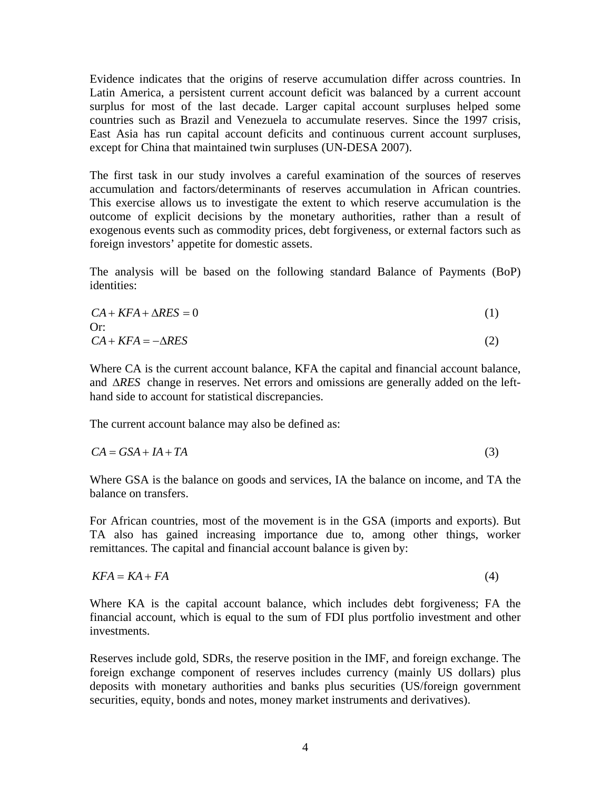Evidence indicates that the origins of reserve accumulation differ across countries. In Latin America, a persistent current account deficit was balanced by a current account surplus for most of the last decade. Larger capital account surpluses helped some countries such as Brazil and Venezuela to accumulate reserves. Since the 1997 crisis, East Asia has run capital account deficits and continuous current account surpluses, except for China that maintained twin surpluses (UN-DESA 2007).

The first task in our study involves a careful examination of the sources of reserves accumulation and factors/determinants of reserves accumulation in African countries. This exercise allows us to investigate the extent to which reserve accumulation is the outcome of explicit decisions by the monetary authorities, rather than a result of exogenous events such as commodity prices, debt forgiveness, or external factors such as foreign investors' appetite for domestic assets.

The analysis will be based on the following standard Balance of Payments (BoP) identities:

$$
CA + KFA + \Delta RES = 0
$$
  
Or:  

$$
CA + KFA = -\Delta RES
$$
 (2)

Where CA is the current account balance, KFA the capital and financial account balance, and ∆RES change in reserves. Net errors and omissions are generally added on the lefthand side to account for statistical discrepancies.

The current account balance may also be defined as:

$$
CA = GSA + IA + TA \tag{3}
$$

Where GSA is the balance on goods and services, IA the balance on income, and TA the balance on transfers.

For African countries, most of the movement is in the GSA (imports and exports). But TA also has gained increasing importance due to, among other things, worker remittances. The capital and financial account balance is given by:

$$
KFA = KA + FA \tag{4}
$$

Where KA is the capital account balance, which includes debt forgiveness; FA the financial account, which is equal to the sum of FDI plus portfolio investment and other investments.

Reserves include gold, SDRs, the reserve position in the IMF, and foreign exchange. The foreign exchange component of reserves includes currency (mainly US dollars) plus deposits with monetary authorities and banks plus securities (US/foreign government securities, equity, bonds and notes, money market instruments and derivatives).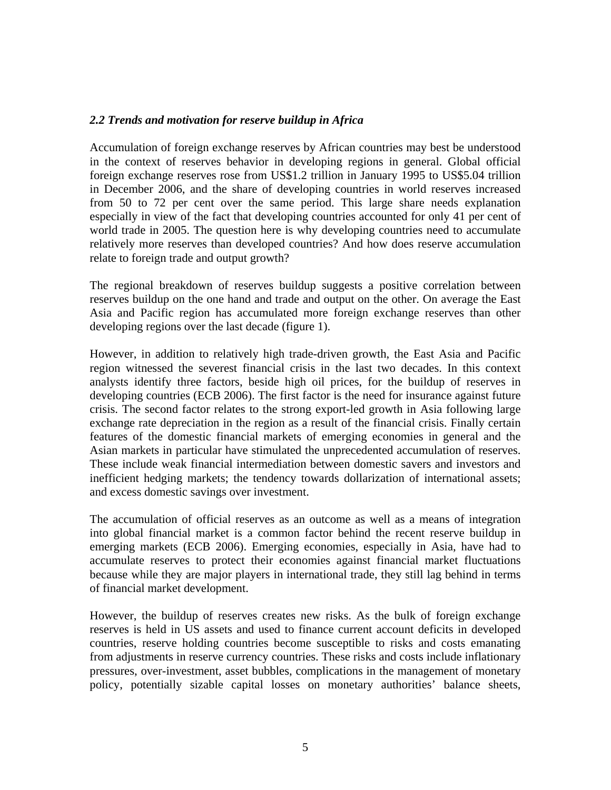# *2.2 Trends and motivation for reserve buildup in Africa*

Accumulation of foreign exchange reserves by African countries may best be understood in the context of reserves behavior in developing regions in general. Global official foreign exchange reserves rose from US\$1.2 trillion in January 1995 to US\$5.04 trillion in December 2006, and the share of developing countries in world reserves increased from 50 to 72 per cent over the same period. This large share needs explanation especially in view of the fact that developing countries accounted for only 41 per cent of world trade in 2005. The question here is why developing countries need to accumulate relatively more reserves than developed countries? And how does reserve accumulation relate to foreign trade and output growth?

The regional breakdown of reserves buildup suggests a positive correlation between reserves buildup on the one hand and trade and output on the other. On average the East Asia and Pacific region has accumulated more foreign exchange reserves than other developing regions over the last decade (figure 1).

However, in addition to relatively high trade-driven growth, the East Asia and Pacific region witnessed the severest financial crisis in the last two decades. In this context analysts identify three factors, beside high oil prices, for the buildup of reserves in developing countries (ECB 2006). The first factor is the need for insurance against future crisis. The second factor relates to the strong export-led growth in Asia following large exchange rate depreciation in the region as a result of the financial crisis. Finally certain features of the domestic financial markets of emerging economies in general and the Asian markets in particular have stimulated the unprecedented accumulation of reserves. These include weak financial intermediation between domestic savers and investors and inefficient hedging markets; the tendency towards dollarization of international assets; and excess domestic savings over investment.

The accumulation of official reserves as an outcome as well as a means of integration into global financial market is a common factor behind the recent reserve buildup in emerging markets (ECB 2006). Emerging economies, especially in Asia, have had to accumulate reserves to protect their economies against financial market fluctuations because while they are major players in international trade, they still lag behind in terms of financial market development.

However, the buildup of reserves creates new risks. As the bulk of foreign exchange reserves is held in US assets and used to finance current account deficits in developed countries, reserve holding countries become susceptible to risks and costs emanating from adjustments in reserve currency countries. These risks and costs include inflationary pressures, over-investment, asset bubbles, complications in the management of monetary policy, potentially sizable capital losses on monetary authorities' balance sheets,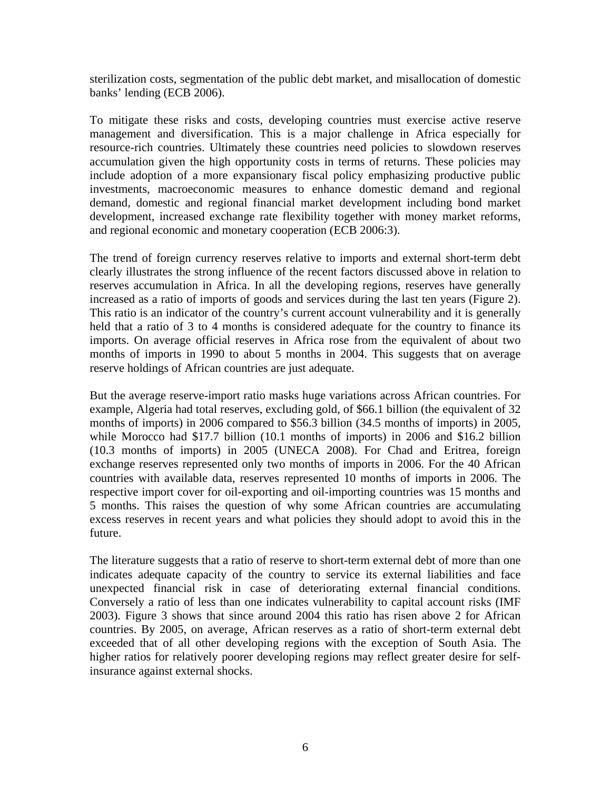sterilization costs, segmentation of the public debt market, and misallocation of domestic banks' lending (ECB 2006).

To mitigate these risks and costs, developing countries must exercise active reserve management and diversification. This is a major challenge in Africa especially for resource-rich countries. Ultimately these countries need policies to slowdown reserves accumulation given the high opportunity costs in terms of returns. These policies may include adoption of a more expansionary fiscal policy emphasizing productive public investments, macroeconomic measures to enhance domestic demand and regional demand, domestic and regional financial market development including bond market development, increased exchange rate flexibility together with money market reforms, and regional economic and monetary cooperation (ECB 2006:3).

The trend of foreign currency reserves relative to imports and external short-term debt clearly illustrates the strong influence of the recent factors discussed above in relation to reserves accumulation in Africa. In all the developing regions, reserves have generally increased as a ratio of imports of goods and services during the last ten years (Figure 2). This ratio is an indicator of the country's current account vulnerability and it is generally held that a ratio of 3 to 4 months is considered adequate for the country to finance its imports. On average official reserves in Africa rose from the equivalent of about two months of imports in 1990 to about 5 months in 2004. This suggests that on average reserve holdings of African countries are just adequate.

But the average reserve-import ratio masks huge variations across African countries. For example, Algeria had total reserves, excluding gold, of \$66.1 billion (the equivalent of 32 months of imports) in 2006 compared to \$56.3 billion (34.5 months of imports) in 2005, while Morocco had \$17.7 billion (10.1 months of imports) in 2006 and \$16.2 billion (10.3 months of imports) in 2005 (UNECA 2008). For Chad and Eritrea, foreign exchange reserves represented only two months of imports in 2006. For the 40 African countries with available data, reserves represented 10 months of imports in 2006. The respective import cover for oil-exporting and oil-importing countries was 15 months and 5 months. This raises the question of why some African countries are accumulating excess reserves in recent years and what policies they should adopt to avoid this in the future.

The literature suggests that a ratio of reserve to short-term external debt of more than one indicates adequate capacity of the country to service its external liabilities and face unexpected financial risk in case of deteriorating external financial conditions. Conversely a ratio of less than one indicates vulnerability to capital account risks (IMF 2003). Figure 3 shows that since around 2004 this ratio has risen above 2 for African countries. By 2005, on average, African reserves as a ratio of short-term external debt exceeded that of all other developing regions with the exception of South Asia. The higher ratios for relatively poorer developing regions may reflect greater desire for selfinsurance against external shocks.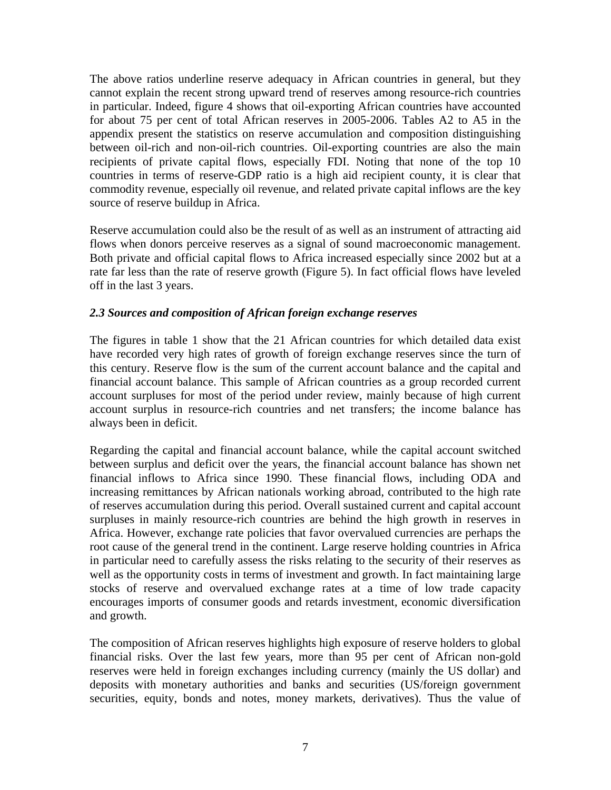The above ratios underline reserve adequacy in African countries in general, but they cannot explain the recent strong upward trend of reserves among resource-rich countries in particular. Indeed, figure 4 shows that oil-exporting African countries have accounted for about 75 per cent of total African reserves in 2005-2006. Tables A2 to A5 in the appendix present the statistics on reserve accumulation and composition distinguishing between oil-rich and non-oil-rich countries. Oil-exporting countries are also the main recipients of private capital flows, especially FDI. Noting that none of the top 10 countries in terms of reserve-GDP ratio is a high aid recipient county, it is clear that commodity revenue, especially oil revenue, and related private capital inflows are the key source of reserve buildup in Africa.

Reserve accumulation could also be the result of as well as an instrument of attracting aid flows when donors perceive reserves as a signal of sound macroeconomic management. Both private and official capital flows to Africa increased especially since 2002 but at a rate far less than the rate of reserve growth (Figure 5). In fact official flows have leveled off in the last 3 years.

# *2.3 Sources and composition of African foreign exchange reserves*

The figures in table 1 show that the 21 African countries for which detailed data exist have recorded very high rates of growth of foreign exchange reserves since the turn of this century. Reserve flow is the sum of the current account balance and the capital and financial account balance. This sample of African countries as a group recorded current account surpluses for most of the period under review, mainly because of high current account surplus in resource-rich countries and net transfers; the income balance has always been in deficit.

Regarding the capital and financial account balance, while the capital account switched between surplus and deficit over the years, the financial account balance has shown net financial inflows to Africa since 1990. These financial flows, including ODA and increasing remittances by African nationals working abroad, contributed to the high rate of reserves accumulation during this period. Overall sustained current and capital account surpluses in mainly resource-rich countries are behind the high growth in reserves in Africa. However, exchange rate policies that favor overvalued currencies are perhaps the root cause of the general trend in the continent. Large reserve holding countries in Africa in particular need to carefully assess the risks relating to the security of their reserves as well as the opportunity costs in terms of investment and growth. In fact maintaining large stocks of reserve and overvalued exchange rates at a time of low trade capacity encourages imports of consumer goods and retards investment, economic diversification and growth.

The composition of African reserves highlights high exposure of reserve holders to global financial risks. Over the last few years, more than 95 per cent of African non-gold reserves were held in foreign exchanges including currency (mainly the US dollar) and deposits with monetary authorities and banks and securities (US/foreign government securities, equity, bonds and notes, money markets, derivatives). Thus the value of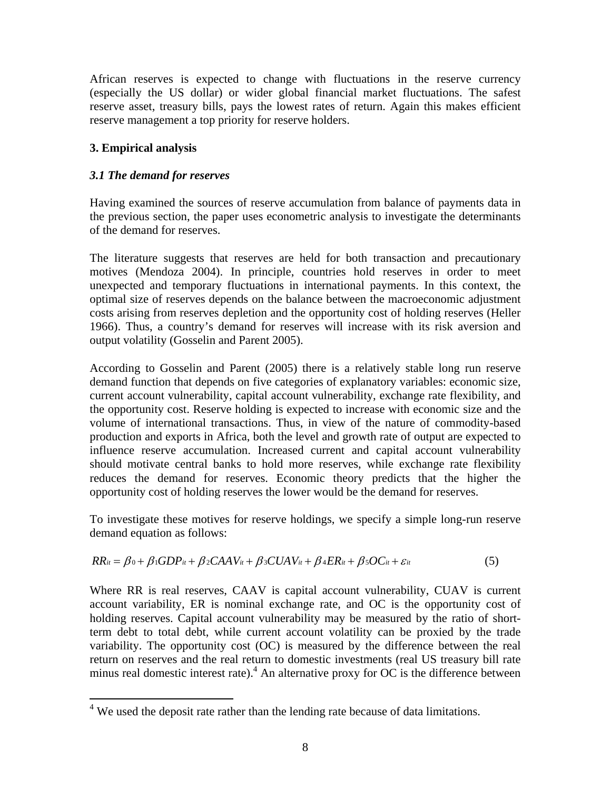African reserves is expected to change with fluctuations in the reserve currency (especially the US dollar) or wider global financial market fluctuations. The safest reserve asset, treasury bills, pays the lowest rates of return. Again this makes efficient reserve management a top priority for reserve holders.

# **3. Empirical analysis**

# *3.1 The demand for reserves*

Having examined the sources of reserve accumulation from balance of payments data in the previous section, the paper uses econometric analysis to investigate the determinants of the demand for reserves.

The literature suggests that reserves are held for both transaction and precautionary motives (Mendoza 2004). In principle, countries hold reserves in order to meet unexpected and temporary fluctuations in international payments. In this context, the optimal size of reserves depends on the balance between the macroeconomic adjustment costs arising from reserves depletion and the opportunity cost of holding reserves (Heller 1966). Thus, a country's demand for reserves will increase with its risk aversion and output volatility (Gosselin and Parent 2005).

According to Gosselin and Parent (2005) there is a relatively stable long run reserve demand function that depends on five categories of explanatory variables: economic size, current account vulnerability, capital account vulnerability, exchange rate flexibility, and the opportunity cost. Reserve holding is expected to increase with economic size and the volume of international transactions. Thus, in view of the nature of commodity-based production and exports in Africa, both the level and growth rate of output are expected to influence reserve accumulation. Increased current and capital account vulnerability should motivate central banks to hold more reserves, while exchange rate flexibility reduces the demand for reserves. Economic theory predicts that the higher the opportunity cost of holding reserves the lower would be the demand for reserves.

To investigate these motives for reserve holdings, we specify a simple long-run reserve demand equation as follows:

$$
RR_{it} = \beta_0 + \beta_1 GDP_{it} + \beta_2 CAB_{it} + \beta_3 CUAV_{it} + \beta_4 ER_{it} + \beta_5 OC_{it} + \varepsilon_{it}
$$
(5)

Where RR is real reserves, CAAV is capital account vulnerability, CUAV is current account variability, ER is nominal exchange rate, and OC is the opportunity cost of holding reserves. Capital account vulnerability may be measured by the ratio of shortterm debt to total debt, while current account volatility can be proxied by the trade variability. The opportunity cost (OC) is measured by the difference between the real return on reserves and the real return to domestic investments (real US treasury bill rate minus real domestic interest rate). <sup>[4](#page-10-0)</sup> An alternative proxy for OC is the difference between

<span id="page-10-0"></span><sup>&</sup>lt;u>.</u>  $4$  We used the deposit rate rather than the lending rate because of data limitations.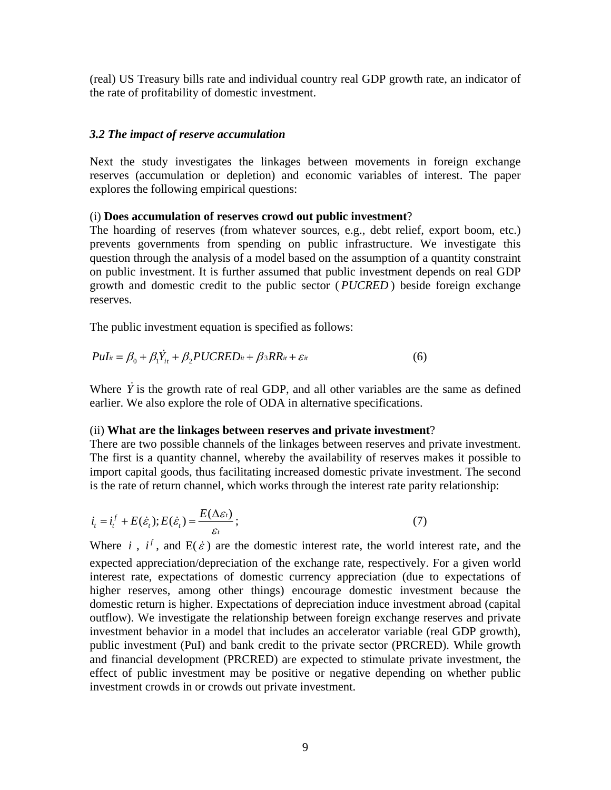(real) US Treasury bills rate and individual country real GDP growth rate, an indicator of the rate of profitability of domestic investment.

#### *3.2 The impact of reserve accumulation*

Next the study investigates the linkages between movements in foreign exchange reserves (accumulation or depletion) and economic variables of interest. The paper explores the following empirical questions:

#### (i) **Does accumulation of reserves crowd out public investment**?

The hoarding of reserves (from whatever sources, e.g., debt relief, export boom, etc.) prevents governments from spending on public infrastructure. We investigate this question through the analysis of a model based on the assumption of a quantity constraint on public investment. It is further assumed that public investment depends on real GDP growth and domestic credit to the public sector (PUCRED) beside foreign exchange reserves.

The public investment equation is specified as follows:

$$
Pul_{it} = \beta_0 + \beta_1 \dot{Y}_{it} + \beta_2 PUCRED_{it} + \beta_3 RR_{it} + \varepsilon_{it}
$$
\n
$$
\tag{6}
$$

Where  $\dot{Y}$  is the growth rate of real GDP, and all other variables are the same as defined earlier. We also explore the role of ODA in alternative specifications.

#### (ii) **What are the linkages between reserves and private investment**?

There are two possible channels of the linkages between reserves and private investment. The first is a quantity channel, whereby the availability of reserves makes it possible to import capital goods, thus facilitating increased domestic private investment. The second is the rate of return channel, which works through the interest rate parity relationship:

$$
i_{t} = i_{t}^{f} + E(\dot{\varepsilon}_{t}); E(\dot{\varepsilon}_{t}) = \frac{E(\Delta \varepsilon_{t})}{\varepsilon_{t}};
$$
\n<sup>(7)</sup>

Where *i*,  $i^f$ , and  $E(\dot{\varepsilon})$  are the domestic interest rate, the world interest rate, and the expected appreciation/depreciation of the exchange rate, respectively. For a given world interest rate, expectations of domestic currency appreciation (due to expectations of higher reserves, among other things) encourage domestic investment because the domestic return is higher. Expectations of depreciation induce investment abroad (capital outflow). We investigate the relationship between foreign exchange reserves and private investment behavior in a model that includes an accelerator variable (real GDP growth), public investment (PuI) and bank credit to the private sector (PRCRED). While growth and financial development (PRCRED) are expected to stimulate private investment, the effect of public investment may be positive or negative depending on whether public investment crowds in or crowds out private investment.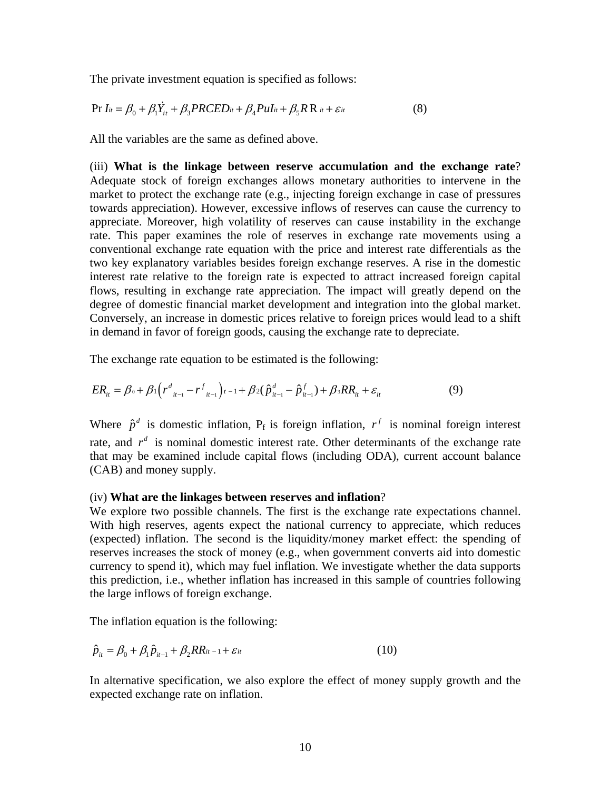The private investment equation is specified as follows:

$$
\Pr{I_{it} = \beta_0 + \beta_1 \dot{Y}_{it} + \beta_3 PRCED_{it} + \beta_4 Pul_{it} + \beta_5 R R_{it} + \varepsilon_{it}}
$$
(8)

All the variables are the same as defined above.

(iii) **What is the linkage between reserve accumulation and the exchange rate**? Adequate stock of foreign exchanges allows monetary authorities to intervene in the market to protect the exchange rate (e.g., injecting foreign exchange in case of pressures towards appreciation). However, excessive inflows of reserves can cause the currency to appreciate. Moreover, high volatility of reserves can cause instability in the exchange rate. This paper examines the role of reserves in exchange rate movements using a conventional exchange rate equation with the price and interest rate differentials as the two key explanatory variables besides foreign exchange reserves. A rise in the domestic interest rate relative to the foreign rate is expected to attract increased foreign capital flows, resulting in exchange rate appreciation. The impact will greatly depend on the degree of domestic financial market development and integration into the global market. Conversely, an increase in domestic prices relative to foreign prices would lead to a shift in demand in favor of foreign goods, causing the exchange rate to depreciate.

The exchange rate equation to be estimated is the following:

$$
ER_{it} = \beta_0 + \beta_1 \Big( r^d_{it-1} - r^f_{it-1} \Big) t - 1 + \beta_2 (\hat{p}^d_{it-1} - \hat{p}^f_{it-1}) + \beta_3 RR_{it} + \varepsilon_{it}
$$
(9)

Where  $\hat{p}^d$  is domestic inflation,  $P_f$  is foreign inflation,  $r^f$  is nominal foreign interest rate, and  $r^d$  is nominal domestic interest rate. Other determinants of the exchange rate that may be examined include capital flows (including ODA), current account balance (CAB) and money supply.

#### (iv) **What are the linkages between reserves and inflation**?

We explore two possible channels. The first is the exchange rate expectations channel. With high reserves, agents expect the national currency to appreciate, which reduces (expected) inflation. The second is the liquidity/money market effect: the spending of reserves increases the stock of money (e.g., when government converts aid into domestic currency to spend it), which may fuel inflation. We investigate whether the data supports this prediction, i.e., whether inflation has increased in this sample of countries following the large inflows of foreign exchange.

The inflation equation is the following:

$$
\hat{p}_{it} = \beta_0 + \beta_1 \hat{p}_{it-1} + \beta_2 RR_{it-1} + \varepsilon_{it}
$$
\n(10)

In alternative specification, we also explore the effect of money supply growth and the expected exchange rate on inflation.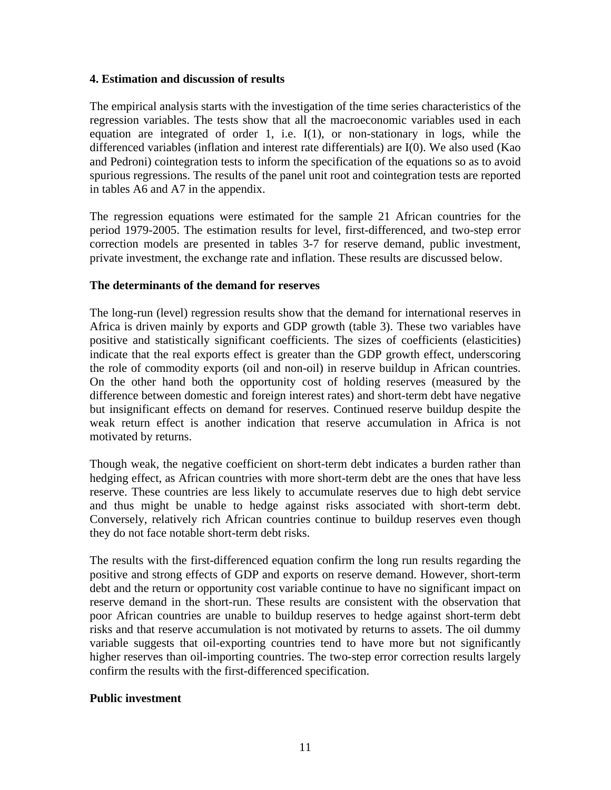# **4. Estimation and discussion of results**

The empirical analysis starts with the investigation of the time series characteristics of the regression variables. The tests show that all the macroeconomic variables used in each equation are integrated of order 1, i.e. I(1), or non-stationary in logs, while the differenced variables (inflation and interest rate differentials) are I(0). We also used (Kao and Pedroni) cointegration tests to inform the specification of the equations so as to avoid spurious regressions. The results of the panel unit root and cointegration tests are reported in tables A6 and A7 in the appendix.

The regression equations were estimated for the sample 21 African countries for the period 1979-2005. The estimation results for level, first-differenced, and two-step error correction models are presented in tables 3-7 for reserve demand, public investment, private investment, the exchange rate and inflation. These results are discussed below.

# **The determinants of the demand for reserves**

The long-run (level) regression results show that the demand for international reserves in Africa is driven mainly by exports and GDP growth (table 3). These two variables have positive and statistically significant coefficients. The sizes of coefficients (elasticities) indicate that the real exports effect is greater than the GDP growth effect, underscoring the role of commodity exports (oil and non-oil) in reserve buildup in African countries. On the other hand both the opportunity cost of holding reserves (measured by the difference between domestic and foreign interest rates) and short-term debt have negative but insignificant effects on demand for reserves. Continued reserve buildup despite the weak return effect is another indication that reserve accumulation in Africa is not motivated by returns.

Though weak, the negative coefficient on short-term debt indicates a burden rather than hedging effect, as African countries with more short-term debt are the ones that have less reserve. These countries are less likely to accumulate reserves due to high debt service and thus might be unable to hedge against risks associated with short-term debt. Conversely, relatively rich African countries continue to buildup reserves even though they do not face notable short-term debt risks.

The results with the first-differenced equation confirm the long run results regarding the positive and strong effects of GDP and exports on reserve demand. However, short-term debt and the return or opportunity cost variable continue to have no significant impact on reserve demand in the short-run. These results are consistent with the observation that poor African countries are unable to buildup reserves to hedge against short-term debt risks and that reserve accumulation is not motivated by returns to assets. The oil dummy variable suggests that oil-exporting countries tend to have more but not significantly higher reserves than oil-importing countries. The two-step error correction results largely confirm the results with the first-differenced specification.

# **Public investment**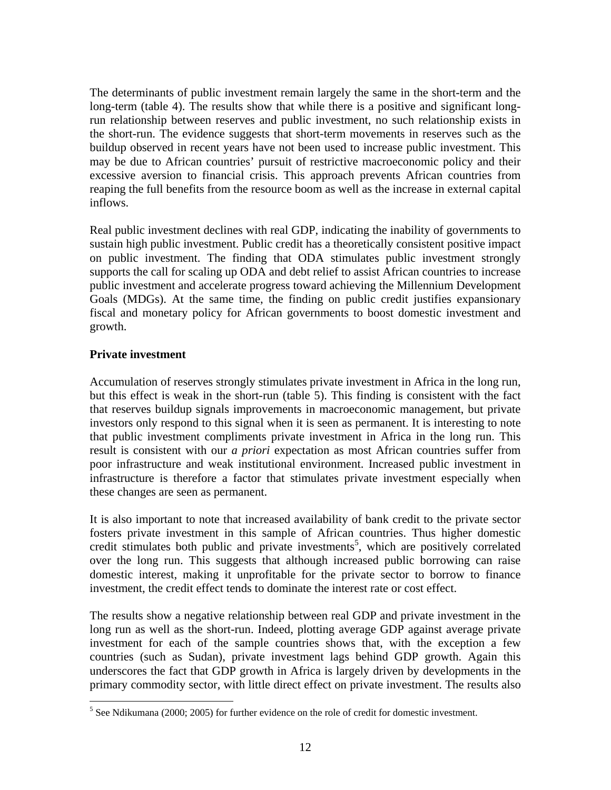The determinants of public investment remain largely the same in the short-term and the long-term (table 4). The results show that while there is a positive and significant longrun relationship between reserves and public investment, no such relationship exists in the short-run. The evidence suggests that short-term movements in reserves such as the buildup observed in recent years have not been used to increase public investment. This may be due to African countries' pursuit of restrictive macroeconomic policy and their excessive aversion to financial crisis. This approach prevents African countries from reaping the full benefits from the resource boom as well as the increase in external capital inflows.

Real public investment declines with real GDP, indicating the inability of governments to sustain high public investment. Public credit has a theoretically consistent positive impact on public investment. The finding that ODA stimulates public investment strongly supports the call for scaling up ODA and debt relief to assist African countries to increase public investment and accelerate progress toward achieving the Millennium Development Goals (MDGs). At the same time, the finding on public credit justifies expansionary fiscal and monetary policy for African governments to boost domestic investment and growth.

# **Private investment**

Accumulation of reserves strongly stimulates private investment in Africa in the long run, but this effect is weak in the short-run (table 5). This finding is consistent with the fact that reserves buildup signals improvements in macroeconomic management, but private investors only respond to this signal when it is seen as permanent. It is interesting to note that public investment compliments private investment in Africa in the long run. This result is consistent with our *a priori* expectation as most African countries suffer from poor infrastructure and weak institutional environment. Increased public investment in infrastructure is therefore a factor that stimulates private investment especially when these changes are seen as permanent.

It is also important to note that increased availability of bank credit to the private sector fosters private investment in this sample of African countries. Thus higher domestic credit stimulates both public and private investments<sup>[5](#page-14-0)</sup>, which are positively correlated over the long run. This suggests that although increased public borrowing can raise domestic interest, making it unprofitable for the private sector to borrow to finance investment, the credit effect tends to dominate the interest rate or cost effect.

The results show a negative relationship between real GDP and private investment in the long run as well as the short-run. Indeed, plotting average GDP against average private investment for each of the sample countries shows that, with the exception a few countries (such as Sudan), private investment lags behind GDP growth. Again this underscores the fact that GDP growth in Africa is largely driven by developments in the primary commodity sector, with little direct effect on private investment. The results also

<span id="page-14-0"></span> $<sup>5</sup>$  See Ndikumana (2000; 2005) for further evidence on the role of credit for domestic investment.</sup>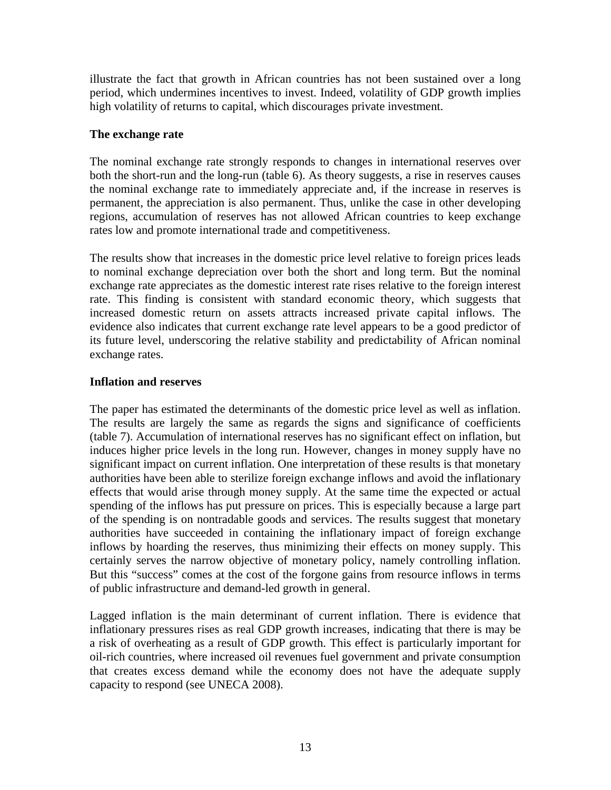illustrate the fact that growth in African countries has not been sustained over a long period, which undermines incentives to invest. Indeed, volatility of GDP growth implies high volatility of returns to capital, which discourages private investment.

# **The exchange rate**

The nominal exchange rate strongly responds to changes in international reserves over both the short-run and the long-run (table 6). As theory suggests, a rise in reserves causes the nominal exchange rate to immediately appreciate and, if the increase in reserves is permanent, the appreciation is also permanent. Thus, unlike the case in other developing regions, accumulation of reserves has not allowed African countries to keep exchange rates low and promote international trade and competitiveness.

The results show that increases in the domestic price level relative to foreign prices leads to nominal exchange depreciation over both the short and long term. But the nominal exchange rate appreciates as the domestic interest rate rises relative to the foreign interest rate. This finding is consistent with standard economic theory, which suggests that increased domestic return on assets attracts increased private capital inflows. The evidence also indicates that current exchange rate level appears to be a good predictor of its future level, underscoring the relative stability and predictability of African nominal exchange rates.

# **Inflation and reserves**

The paper has estimated the determinants of the domestic price level as well as inflation. The results are largely the same as regards the signs and significance of coefficients (table 7). Accumulation of international reserves has no significant effect on inflation, but induces higher price levels in the long run. However, changes in money supply have no significant impact on current inflation. One interpretation of these results is that monetary authorities have been able to sterilize foreign exchange inflows and avoid the inflationary effects that would arise through money supply. At the same time the expected or actual spending of the inflows has put pressure on prices. This is especially because a large part of the spending is on nontradable goods and services. The results suggest that monetary authorities have succeeded in containing the inflationary impact of foreign exchange inflows by hoarding the reserves, thus minimizing their effects on money supply. This certainly serves the narrow objective of monetary policy, namely controlling inflation. But this "success" comes at the cost of the forgone gains from resource inflows in terms of public infrastructure and demand-led growth in general.

Lagged inflation is the main determinant of current inflation. There is evidence that inflationary pressures rises as real GDP growth increases, indicating that there is may be a risk of overheating as a result of GDP growth. This effect is particularly important for oil-rich countries, where increased oil revenues fuel government and private consumption that creates excess demand while the economy does not have the adequate supply capacity to respond (see UNECA 2008).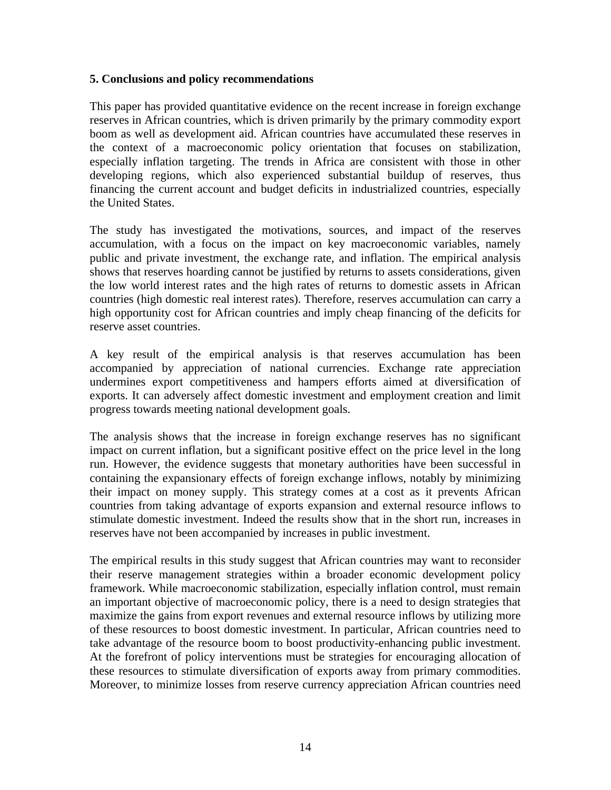# **5. Conclusions and policy recommendations**

This paper has provided quantitative evidence on the recent increase in foreign exchange reserves in African countries, which is driven primarily by the primary commodity export boom as well as development aid. African countries have accumulated these reserves in the context of a macroeconomic policy orientation that focuses on stabilization, especially inflation targeting. The trends in Africa are consistent with those in other developing regions, which also experienced substantial buildup of reserves, thus financing the current account and budget deficits in industrialized countries, especially the United States.

The study has investigated the motivations, sources, and impact of the reserves accumulation, with a focus on the impact on key macroeconomic variables, namely public and private investment, the exchange rate, and inflation. The empirical analysis shows that reserves hoarding cannot be justified by returns to assets considerations, given the low world interest rates and the high rates of returns to domestic assets in African countries (high domestic real interest rates). Therefore, reserves accumulation can carry a high opportunity cost for African countries and imply cheap financing of the deficits for reserve asset countries.

A key result of the empirical analysis is that reserves accumulation has been accompanied by appreciation of national currencies. Exchange rate appreciation undermines export competitiveness and hampers efforts aimed at diversification of exports. It can adversely affect domestic investment and employment creation and limit progress towards meeting national development goals.

The analysis shows that the increase in foreign exchange reserves has no significant impact on current inflation, but a significant positive effect on the price level in the long run. However, the evidence suggests that monetary authorities have been successful in containing the expansionary effects of foreign exchange inflows, notably by minimizing their impact on money supply. This strategy comes at a cost as it prevents African countries from taking advantage of exports expansion and external resource inflows to stimulate domestic investment. Indeed the results show that in the short run, increases in reserves have not been accompanied by increases in public investment.

The empirical results in this study suggest that African countries may want to reconsider their reserve management strategies within a broader economic development policy framework. While macroeconomic stabilization, especially inflation control, must remain an important objective of macroeconomic policy, there is a need to design strategies that maximize the gains from export revenues and external resource inflows by utilizing more of these resources to boost domestic investment. In particular, African countries need to take advantage of the resource boom to boost productivity-enhancing public investment. At the forefront of policy interventions must be strategies for encouraging allocation of these resources to stimulate diversification of exports away from primary commodities. Moreover, to minimize losses from reserve currency appreciation African countries need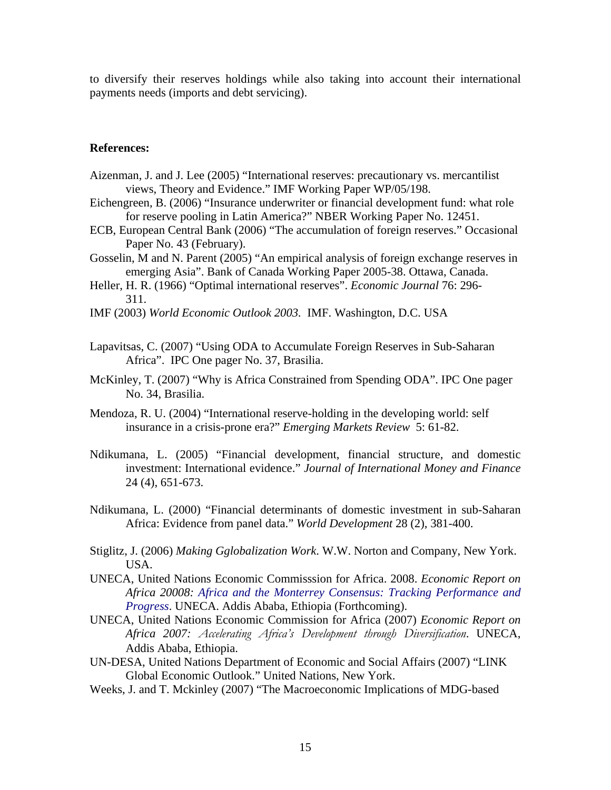to diversify their reserves holdings while also taking into account their international payments needs (imports and debt servicing).

#### **References:**

- Aizenman, J. and J. Lee (2005) "International reserves: precautionary vs. mercantilist views, Theory and Evidence." IMF Working Paper WP/05/198.
- Eichengreen, B. (2006) "Insurance underwriter or financial development fund: what role for reserve pooling in Latin America?" NBER Working Paper No. 12451.
- ECB, European Central Bank (2006) "The accumulation of foreign reserves." Occasional Paper No. 43 (February).
- Gosselin, M and N. Parent (2005) "An empirical analysis of foreign exchange reserves in emerging Asia". Bank of Canada Working Paper 2005-38. Ottawa, Canada.
- Heller, H. R. (1966) "Optimal international reserves". *Economic Journal* 76: 296- 311.
- IMF (2003) *World Economic Outlook 2003.* IMF. Washington, D.C. USA
- Lapavitsas, C. (2007) "Using ODA to Accumulate Foreign Reserves in Sub-Saharan Africa". IPC One pager No. 37, Brasilia.
- McKinley, T. (2007) "Why is Africa Constrained from Spending ODA". IPC One pager No. 34, Brasilia.
- Mendoza, R. U. (2004) "International reserve-holding in the developing world: self insurance in a crisis-prone era?" *Emerging Markets Review* 5: 61-82.
- Ndikumana, L. (2005) "Financial development, financial structure, and domestic investment: International evidence." *Journal of International Money and Finance* 24 (4), 651-673.
- Ndikumana, L. (2000) "Financial determinants of domestic investment in sub-Saharan Africa: Evidence from panel data." *World Development* 28 (2), 381-400.
- Stiglitz, J. (2006) *Making Gglobalization Work*. W.W. Norton and Company, New York. USA.
- UNECA, United Nations Economic Commisssion for Africa. 2008. *Economic Report on Africa 20008: Africa and the Monterrey Consensus: Tracking Performance and Progress*. UNECA. Addis Ababa, Ethiopia (Forthcoming).
- UNECA, United Nations Economic Commission for Africa (2007) *Economic Report on Africa 2007: Accelerating Africa's Development through Diversification*. UNECA, Addis Ababa, Ethiopia.
- UN-DESA, United Nations Department of Economic and Social Affairs (2007) "LINK Global Economic Outlook." United Nations, New York.
- Weeks, J. and T. Mckinley (2007) "The Macroeconomic Implications of MDG-based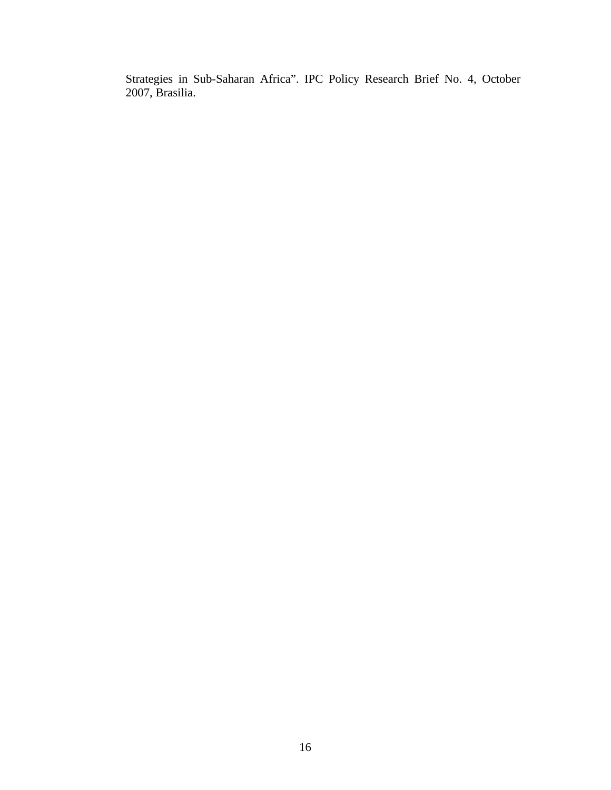Strategies in Sub-Saharan Africa". IPC Policy Research Brief No. 4, October 2007, Brasilia.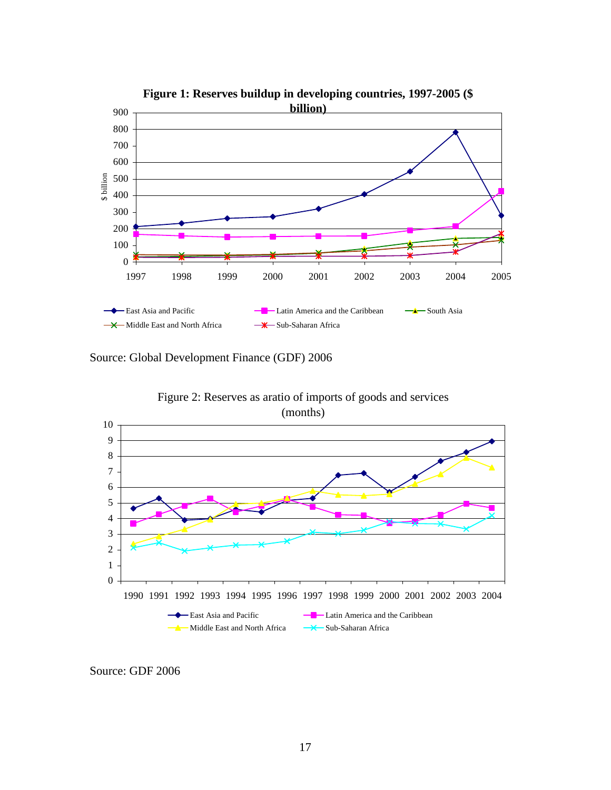

**Figure 1: Reserves buildup in developing countries, 1997-2005 (\$** 

Source: Global Development Finance (GDF) 2006



Source: GDF 2006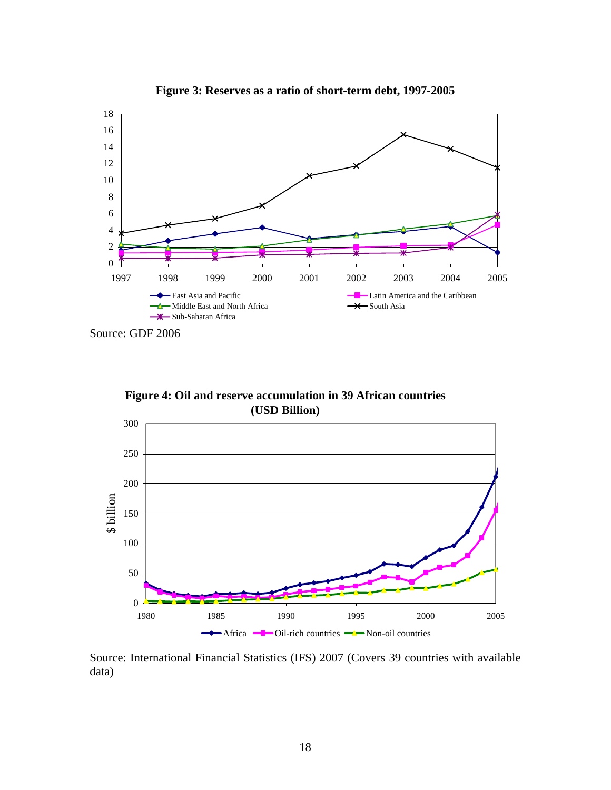

**Figure 3: Reserves as a ratio of short-term debt, 1997-2005**

Source: GDF 2006

**Figure 4: Oil and reserve accumulation in 39 African countries (USD Billion)**



Source: International Financial Statistics (IFS) 2007 (Covers 39 countries with available data)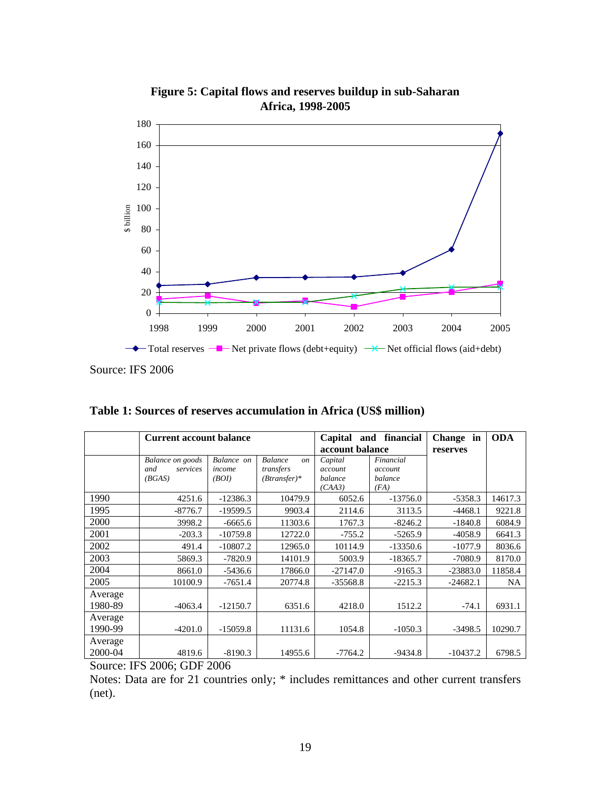

**Figure 5: Capital flows and reserves buildup in sub-Saharan Africa, 1998-2005**

Source: IFS 2006

|                    | <b>Current account balance</b>                |                               |                                                                | Capital<br>and<br>account balance       | financial                               | Change in<br>reserves | <b>ODA</b> |
|--------------------|-----------------------------------------------|-------------------------------|----------------------------------------------------------------|-----------------------------------------|-----------------------------------------|-----------------------|------------|
|                    | Balance on goods<br>and<br>services<br>(BGAS) | Balance on<br>income<br>(BOI) | <b>Balance</b><br><sub>on</sub><br>transfers<br>$(Btransfer)*$ | Capital<br>account<br>balance<br>(CAA3) | Financial<br>account<br>balance<br>(FA) |                       |            |
| 1990               | 4251.6                                        | $-12386.3$                    | 10479.9                                                        | 6052.6                                  | $-13756.0$                              | $-5358.3$             | 14617.3    |
| 1995               | $-8776.7$                                     | $-19599.5$                    | 9903.4                                                         | 2114.6                                  | 3113.5                                  | $-4468.1$             | 9221.8     |
| 2000               | 3998.2                                        | $-6665.6$                     | 11303.6                                                        | 1767.3                                  | $-8246.2$                               | $-1840.8$             | 6084.9     |
| 2001               | $-203.3$                                      | $-10759.8$                    | 12722.0                                                        | $-755.2$                                | $-5265.9$                               | $-4058.9$             | 6641.3     |
| 2002               | 491.4                                         | $-10807.2$                    | 12965.0                                                        | 10114.9                                 | $-13350.6$                              | $-1077.9$             | 8036.6     |
| 2003               | 5869.3                                        | $-7820.9$                     | 14101.9                                                        | 5003.9                                  | $-18365.7$                              | $-7080.9$             | 8170.0     |
| 2004               | 8661.0                                        | $-5436.6$                     | 17866.0                                                        | $-27147.0$                              | $-9165.3$                               | $-23883.0$            | 11858.4    |
| 2005               | 10100.9                                       | $-7651.4$                     | 20774.8                                                        | $-35568.8$                              | $-2215.3$                               | $-24682.1$            | <b>NA</b>  |
| Average<br>1980-89 | $-4063.4$                                     | $-12150.7$                    | 6351.6                                                         | 4218.0                                  | 1512.2                                  | $-74.1$               | 6931.1     |
| Average<br>1990-99 | $-4201.0$                                     | $-15059.8$                    | 11131.6                                                        | 1054.8                                  | $-1050.3$                               | $-3498.5$             | 10290.7    |
| Average<br>2000-04 | 4819.6                                        | $-8190.3$                     | 14955.6                                                        | $-7764.2$                               | $-9434.8$                               | $-10437.2$            | 6798.5     |

Source: IFS 2006; GDF 2006

Notes: Data are for 21 countries only; \* includes remittances and other current transfers (net).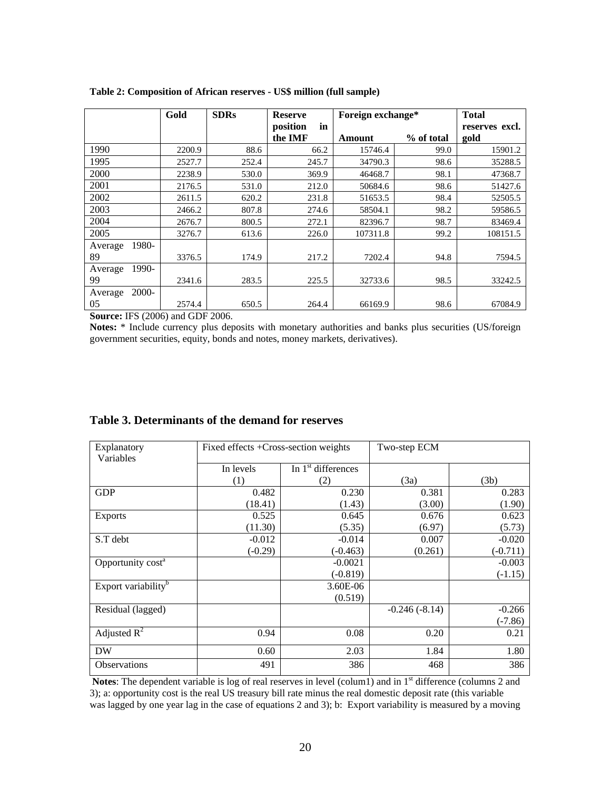|                  | Gold   | <b>SDRs</b> | <b>Reserve</b> | Foreign exchange* |            | <b>Total</b>   |
|------------------|--------|-------------|----------------|-------------------|------------|----------------|
|                  |        |             | position<br>in |                   |            | reserves excl. |
|                  |        |             | the IMF        | Amount            | % of total | gold           |
| 1990             | 2200.9 | 88.6        | 66.2           | 15746.4           | 99.0       | 15901.2        |
| 1995             | 2527.7 | 252.4       | 245.7          | 34790.3           | 98.6       | 35288.5        |
| 2000             | 2238.9 | 530.0       | 369.9          | 46468.7           | 98.1       | 47368.7        |
| 2001             | 2176.5 | 531.0       | 212.0          | 50684.6           | 98.6       | 51427.6        |
| 2002             | 2611.5 | 620.2       | 231.8          | 51653.5           | 98.4       | 52505.5        |
| 2003             | 2466.2 | 807.8       | 274.6          | 58504.1           | 98.2       | 59586.5        |
| 2004             | 2676.7 | 800.5       | 272.1          | 82396.7           | 98.7       | 83469.4        |
| 2005             | 3276.7 | 613.6       | 226.0          | 107311.8          | 99.2       | 108151.5       |
| 1980-<br>Average |        |             |                |                   |            |                |
| 89               | 3376.5 | 174.9       | 217.2          | 7202.4            | 94.8       | 7594.5         |
| 1990-<br>Average |        |             |                |                   |            |                |
| 99               | 2341.6 | 283.5       | 225.5          | 32733.6           | 98.5       | 33242.5        |
| 2000-<br>Average |        |             |                |                   |            |                |
| 05               | 2574.4 | 650.5       | 264.4          | 66169.9           | 98.6       | 67084.9        |

**Table 2: Composition of African reserves - US\$ million (full sample)** 

**Source:** IFS (2006) and GDF 2006.

**Notes:** \* Include currency plus deposits with monetary authorities and banks plus securities (US/foreign government securities, equity, bonds and notes, money markets, derivatives).

| Explanatory<br>Variables        | Fixed effects +Cross-section weights |                                | Two-step ECM    |            |
|---------------------------------|--------------------------------------|--------------------------------|-----------------|------------|
|                                 | In levels                            | In 1 <sup>st</sup> differences |                 |            |
|                                 | (1)                                  | (2)                            | (3a)            | (3b)       |
| <b>GDP</b>                      | 0.482                                | 0.230                          | 0.381           | 0.283      |
|                                 | (18.41)                              | (1.43)                         | (3.00)          | (1.90)     |
| <b>Exports</b>                  | 0.525                                | 0.645                          | 0.676           | 0.623      |
|                                 | (11.30)                              | (5.35)                         | (6.97)          | (5.73)     |
| S.T debt                        | $-0.012$                             | $-0.014$                       | 0.007           | $-0.020$   |
|                                 | $(-0.29)$                            | $(-0.463)$                     | (0.261)         | $(-0.711)$ |
| Opportunity cost <sup>a</sup>   |                                      | $-0.0021$                      |                 | $-0.003$   |
|                                 |                                      | $(-0.819)$                     |                 | $(-1.15)$  |
| Export variability <sup>b</sup> |                                      | 3.60E-06                       |                 |            |
|                                 |                                      | (0.519)                        |                 |            |
| Residual (lagged)               |                                      |                                | $-0.246(-8.14)$ | $-0.266$   |
|                                 |                                      |                                |                 | $(-7.86)$  |
| Adjusted $R^2$                  | 0.94                                 | 0.08                           | 0.20            | 0.21       |
| <b>DW</b>                       | 0.60                                 | 2.03                           | 1.84            | 1.80       |
| <b>Observations</b>             | 491                                  | 386                            | 468             | 386        |

#### **Table 3. Determinants of the demand for reserves**

**Notes**: The dependent variable is log of real reserves in level (colum1) and in 1<sup>st</sup> difference (columns 2 and 3); a: opportunity cost is the real US treasury bill rate minus the real domestic deposit rate (this variable was lagged by one year lag in the case of equations 2 and 3); b: Export variability is measured by a moving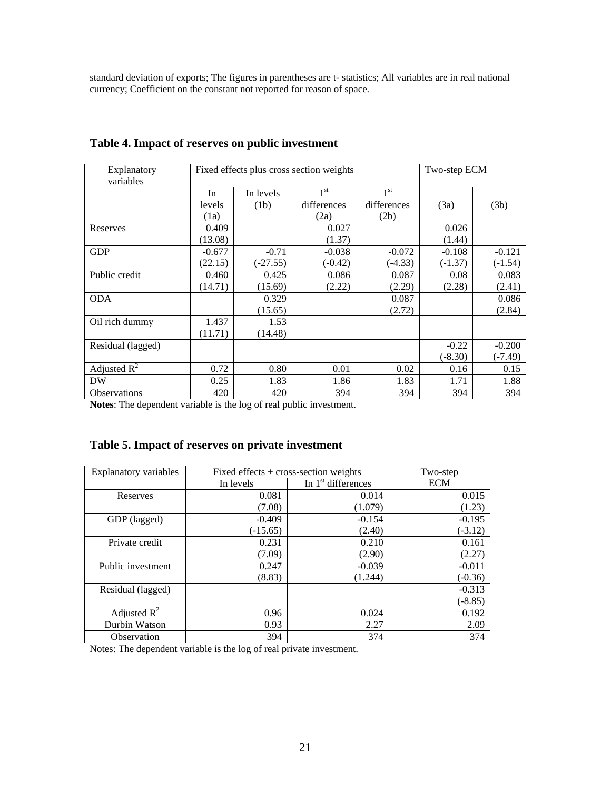standard deviation of exports; The figures in parentheses are t- statistics; All variables are in real national currency; Coefficient on the constant not reported for reason of space.

| Explanatory<br>variables |          | Fixed effects plus cross section weights |                 | Two-step ECM    |           |           |
|--------------------------|----------|------------------------------------------|-----------------|-----------------|-----------|-----------|
|                          | In       | In levels                                | 1 <sup>st</sup> | 1 <sup>st</sup> |           |           |
|                          | levels   | (1b)                                     | differences     | differences     | (3a)      | (3b)      |
|                          | (1a)     |                                          | (2a)            | (2b)            |           |           |
| Reserves                 | 0.409    |                                          | 0.027           |                 | 0.026     |           |
|                          | (13.08)  |                                          | (1.37)          |                 | (1.44)    |           |
| <b>GDP</b>               | $-0.677$ | $-0.71$                                  | $-0.038$        | $-0.072$        | $-0.108$  | $-0.121$  |
|                          | (22.15)  | $(-27.55)$                               | $(-0.42)$       | $(-4.33)$       | $(-1.37)$ | $(-1.54)$ |
| Public credit            | 0.460    | 0.425                                    | 0.086           | 0.087           | 0.08      | 0.083     |
|                          | (14.71)  | (15.69)                                  | (2.22)          | (2.29)          | (2.28)    | (2.41)    |
| <b>ODA</b>               |          | 0.329                                    |                 | 0.087           |           | 0.086     |
|                          |          | (15.65)                                  |                 | (2.72)          |           | (2.84)    |
| Oil rich dummy           | 1.437    | 1.53                                     |                 |                 |           |           |
|                          | (11.71)  | (14.48)                                  |                 |                 |           |           |
| Residual (lagged)        |          |                                          |                 |                 | $-0.22$   | $-0.200$  |
|                          |          |                                          |                 |                 | $(-8.30)$ | (-7.49)   |
| Adjusted $R^2$           | 0.72     | 0.80                                     | 0.01            | 0.02            | 0.16      | 0.15      |
| <b>DW</b>                | 0.25     | 1.83                                     | 1.86            | 1.83            | 1.71      | 1.88      |
| <b>Observations</b>      | 420      | 420                                      | 394             | 394             | 394       | 394       |

# **Table 4. Impact of reserves on public investment**

**Notes**: The dependent variable is the log of real public investment.

# **Table 5. Impact of reserves on private investment**

| <b>Explanatory variables</b> |            | Fixed effects $+$ cross-section weights |            |  |  |  |
|------------------------------|------------|-----------------------------------------|------------|--|--|--|
|                              | In levels  | In $1st$ differences                    | <b>ECM</b> |  |  |  |
| Reserves                     | 0.081      | 0.014                                   | 0.015      |  |  |  |
|                              | (7.08)     | (1.079)                                 | (1.23)     |  |  |  |
| GDP (lagged)                 | $-0.409$   | $-0.154$                                | $-0.195$   |  |  |  |
|                              | $(-15.65)$ | (2.40)                                  | $(-3.12)$  |  |  |  |
| Private credit               | 0.231      | 0.210                                   | 0.161      |  |  |  |
|                              | (7.09)     | (2.90)                                  | (2.27)     |  |  |  |
| Public investment            | 0.247      | $-0.039$                                | $-0.011$   |  |  |  |
|                              | (8.83)     | (1.244)                                 | $(-0.36)$  |  |  |  |
| Residual (lagged)            |            |                                         | $-0.313$   |  |  |  |
|                              |            |                                         | $(-8.85)$  |  |  |  |
| Adjusted $R^2$               | 0.96       | 0.024                                   | 0.192      |  |  |  |
| Durbin Watson                | 0.93       | 2.27                                    | 2.09       |  |  |  |
| Observation                  | 394        | 374                                     | 374        |  |  |  |

Notes: The dependent variable is the log of real private investment.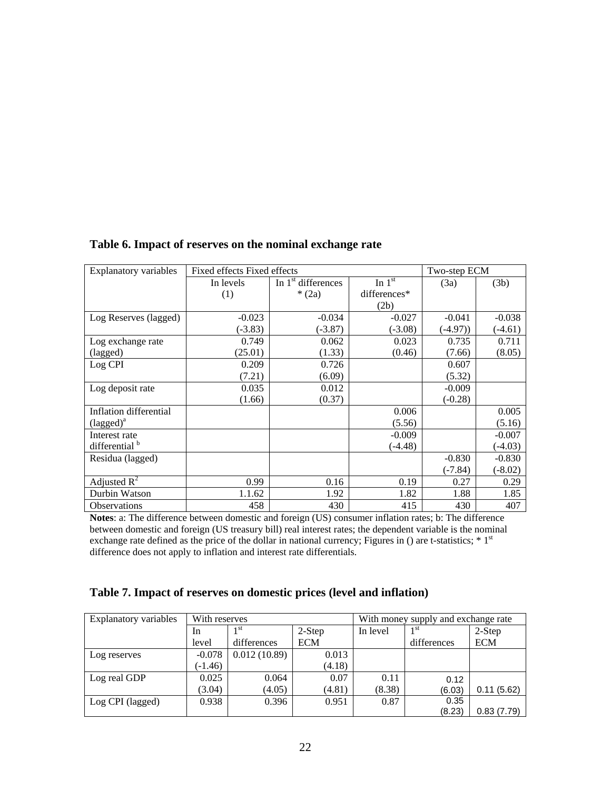| Explanatory variables        | Fixed effects Fixed effects | Two-step ECM         |                 |            |           |
|------------------------------|-----------------------------|----------------------|-----------------|------------|-----------|
|                              | In levels                   | In $1st$ differences | In $1^{\rm st}$ | (3a)       | (3b)      |
|                              | (1)                         | $*(2a)$              | differences*    |            |           |
|                              |                             |                      | (2b)            |            |           |
| Log Reserves (lagged)        | $-0.023$                    | $-0.034$             | $-0.027$        | $-0.041$   | $-0.038$  |
|                              | $(-3.83)$                   | $(-3.87)$            | $(-3.08)$       | $(-4.97))$ | $(-4.61)$ |
| Log exchange rate            | 0.749                       | 0.062                | 0.023           | 0.735      | 0.711     |
| (lagged)                     | (25.01)                     | (1.33)               | (0.46)          | (7.66)     | (8.05)    |
| Log CPI                      | 0.209                       | 0.726                |                 | 0.607      |           |
|                              | (7.21)                      | (6.09)               |                 | (5.32)     |           |
| Log deposit rate             | 0.035                       | 0.012                |                 | $-0.009$   |           |
|                              | (1.66)                      | (0.37)               |                 | $(-0.28)$  |           |
| Inflation differential       |                             |                      | 0.006           |            | 0.005     |
| $(\text{lagged})^{\text{a}}$ |                             |                      | (5.56)          |            | (5.16)    |
| Interest rate                |                             |                      | $-0.009$        |            | $-0.007$  |
| differential <sup>b</sup>    |                             |                      | (-4.48)         |            | $(-4.03)$ |
| Residua (lagged)             |                             |                      |                 | $-0.830$   | $-0.830$  |
|                              |                             |                      |                 | (-7.84)    | $(-8.02)$ |
| Adjusted $R^2$               | 0.99                        | 0.16                 | 0.19            | 0.27       | 0.29      |
| Durbin Watson                | 1.1.62                      | 1.92                 | 1.82            | 1.88       | 1.85      |
| <b>Observations</b>          | 458                         | 430                  | 415             | 430        | 407       |

# **Table 6. Impact of reserves on the nominal exchange rate**

**Notes**: a: The difference between domestic and foreign (US) consumer inflation rates; b: The difference between domestic and foreign (US treasury bill) real interest rates; the dependent variable is the nominal exchange rate defined as the price of the dollar in national currency; Figures in () are t-statistics; \* 1<sup>st</sup> difference does not apply to inflation and interest rate differentials.

# **Table 7. Impact of reserves on domestic prices (level and inflation)**

| Explanatory variables | With reserves |              |            | With money supply and exchange rate |                 |            |
|-----------------------|---------------|--------------|------------|-------------------------------------|-----------------|------------|
|                       | In            | 1 st         | $2-Step$   | In level                            | 1 <sup>st</sup> | 2-Step     |
|                       | level         | differences  | <b>ECM</b> |                                     | differences     | ECM        |
| Log reserves          | $-0.078$      | 0.012(10.89) | 0.013      |                                     |                 |            |
|                       | $(-1.46)$     |              | (4.18)     |                                     |                 |            |
| Log real GDP          | 0.025         | 0.064        | 0.07       | 0.11                                | 0.12            |            |
|                       | (3.04)        | (4.05)       | (4.81)     | (8.38)                              | (6.03)          | 0.11(5.62) |
| Log CPI (lagged)      | 0.938         | 0.396        | 0.951      | 0.87                                | 0.35            |            |
|                       |               |              |            |                                     | (8.23)          | 0.83(7.79) |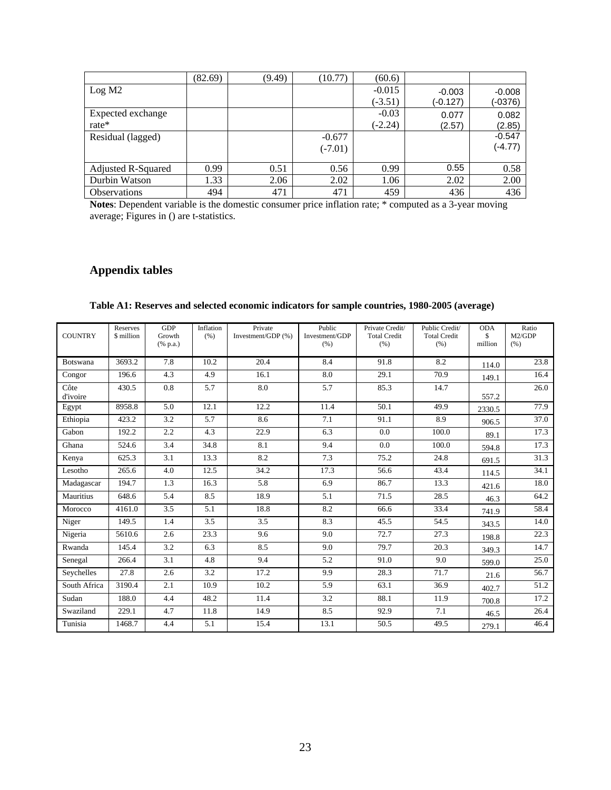|                     | (82.69) | (9.49) | (10.77)   | (60.6)    |          |           |
|---------------------|---------|--------|-----------|-----------|----------|-----------|
| Log M2              |         |        |           | $-0.015$  | $-0.003$ | $-0.008$  |
|                     |         |        |           | $(-3.51)$ | (-0.127) | (-0376)   |
| Expected exchange   |         |        |           | $-0.03$   | 0.077    | 0.082     |
| rate $*$            |         |        |           | $(-2.24)$ | (2.57)   | (2.85)    |
| Residual (lagged)   |         |        | $-0.677$  |           |          | $-0.547$  |
|                     |         |        | $(-7.01)$ |           |          | $(-4.77)$ |
|                     |         |        |           |           |          |           |
| Adjusted R-Squared  | 0.99    | 0.51   | 0.56      | 0.99      | 0.55     | 0.58      |
| Durbin Watson       | 1.33    | 2.06   | 2.02      | 1.06      | 2.02     | 2.00      |
| <b>Observations</b> | 494     | 471    | 471       | 459       | 436      | 436       |

**Notes**: Dependent variable is the domestic consumer price inflation rate; \* computed as a 3-year moving average; Figures in () are t-statistics.

# **Appendix tables**

| <b>COUNTRY</b>   | Reserves<br>\$ million | GDP<br>Growth<br>$(% \mathbf{a})$ (% p.a.) | Inflation<br>(% ) | Private<br>Investment/GDP (%) | Public<br>Investment/GDP<br>(% ) | Private Credit/<br><b>Total Credit</b><br>(% ) | Public Credit/<br><b>Total Credit</b><br>(% ) | <b>ODA</b><br>\$<br>million | Ratio<br>M2/GDP<br>(% ) |
|------------------|------------------------|--------------------------------------------|-------------------|-------------------------------|----------------------------------|------------------------------------------------|-----------------------------------------------|-----------------------------|-------------------------|
| <b>Botswana</b>  | 3693.2                 | 7.8                                        | 10.2              | 20.4                          | 8.4                              | 91.8                                           | 8.2                                           | 114.0                       | 23.8                    |
| Congor           | 196.6                  | 4.3                                        | 4.9               | 16.1                          | 8.0                              | 29.1                                           | 70.9                                          | 149.1                       | 16.4                    |
| Côte<br>d'ivoire | 430.5                  | 0.8                                        | 5.7               | 8.0                           | 5.7                              | 85.3                                           | 14.7                                          | 557.2                       | 26.0                    |
| Egypt            | 8958.8                 | 5.0                                        | 12.1              | 12.2                          | 11.4                             | 50.1                                           | 49.9                                          | 2330.5                      | 77.9                    |
| Ethiopia         | 423.2                  | 3.2                                        | 5.7               | 8.6                           | 7.1                              | 91.1                                           | 8.9                                           | 906.5                       | 37.0                    |
| Gabon            | 192.2                  | 2.2                                        | 4.3               | 22.9                          | 6.3                              | 0.0                                            | 100.0                                         | 89.1                        | 17.3                    |
| Ghana            | 524.6                  | 3.4                                        | 34.8              | 8.1                           | 9.4                              | 0.0                                            | 100.0                                         | 594.8                       | 17.3                    |
| Kenya            | 625.3                  | 3.1                                        | 13.3              | 8.2                           | 7.3                              | 75.2                                           | 24.8                                          | 691.5                       | 31.3                    |
| Lesotho          | 265.6                  | 4.0                                        | 12.5              | 34.2                          | 17.3                             | 56.6                                           | 43.4                                          | 114.5                       | 34.1                    |
| Madagascar       | 194.7                  | 1.3                                        | 16.3              | 5.8                           | 6.9                              | 86.7                                           | 13.3                                          | 421.6                       | 18.0                    |
| Mauritius        | 648.6                  | 5.4                                        | 8.5               | 18.9                          | 5.1                              | 71.5                                           | 28.5                                          | 46.3                        | 64.2                    |
| Morocco          | 4161.0                 | 3.5                                        | 5.1               | 18.8                          | 8.2                              | 66.6                                           | 33.4                                          | 741.9                       | 58.4                    |
| Niger            | 149.5                  | 1.4                                        | 3.5               | 3.5                           | 8.3                              | 45.5                                           | 54.5                                          | 343.5                       | 14.0                    |
| Nigeria          | 5610.6                 | 2.6                                        | 23.3              | 9.6                           | 9.0                              | 72.7                                           | 27.3                                          | 198.8                       | 22.3                    |
| Rwanda           | 145.4                  | 3.2                                        | 6.3               | 8.5                           | 9.0                              | 79.7                                           | 20.3                                          | 349.3                       | 14.7                    |
| Senegal          | 266.4                  | 3.1                                        | 4.8               | 9.4                           | 5.2                              | 91.0                                           | 9.0                                           | 599.0                       | 25.0                    |
| Seychelles       | 27.8                   | 2.6                                        | 3.2               | 17.2                          | 9.9                              | 28.3                                           | 71.7                                          | 21.6                        | 56.7                    |
| South Africa     | 3190.4                 | 2.1                                        | 10.9              | 10.2                          | 5.9                              | 63.1                                           | 36.9                                          | 402.7                       | $\overline{51.2}$       |
| Sudan            | 188.0                  | 4.4                                        | 48.2              | 11.4                          | 3.2                              | 88.1                                           | 11.9                                          | 700.8                       | 17.2                    |
| Swaziland        | 229.1                  | 4.7                                        | 11.8              | 14.9                          | 8.5                              | 92.9                                           | 7.1                                           | 46.5                        | 26.4                    |
| Tunisia          | 1468.7                 | 4.4                                        | 5.1               | 15.4                          | 13.1                             | 50.5                                           | 49.5                                          | 279.1                       | 46.4                    |

# **Table A1: Reserves and selected economic indicators for sample countries, 1980-2005 (average)**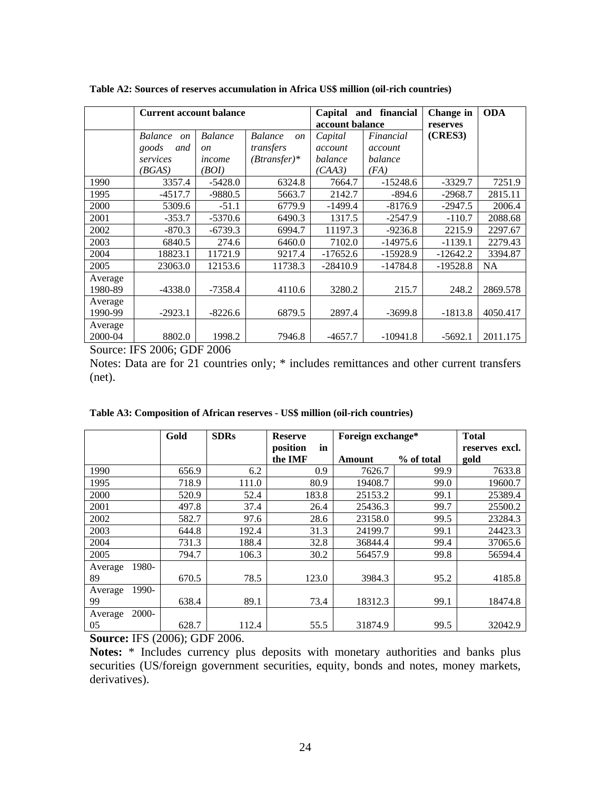|         | <b>Current account balance</b>    |                |                                   | Capital         | and financial | Change in  | <b>ODA</b> |
|---------|-----------------------------------|----------------|-----------------------------------|-----------------|---------------|------------|------------|
|         |                                   |                |                                   | account balance |               | reserves   |            |
|         | <b>Balance</b><br>$\mathfrak{O}n$ | <b>Balance</b> | <b>Balance</b><br>$\overline{on}$ | Capital         | Financial     | (CRES3)    |            |
|         | goods<br>and                      | <sub>on</sub>  | transfers                         | account         | account       |            |            |
|         | services                          | income         | $(Btransfer)*$                    | balance         | balance       |            |            |
|         | (BGAS)                            | (BOI)          |                                   | (CAA3)          | (FA)          |            |            |
| 1990    | 3357.4                            | $-5428.0$      | 6324.8                            | 7664.7          | $-15248.6$    | $-3329.7$  | 7251.9     |
| 1995    | $-4517.7$                         | $-9880.5$      | 5663.7                            | 2142.7          | $-894.6$      | $-2968.7$  | 2815.11    |
| 2000    | 5309.6                            | $-51.1$        | 6779.9                            | $-1499.4$       | $-8176.9$     | $-2947.5$  | 2006.4     |
| 2001    | $-353.7$                          | $-5370.6$      | 6490.3                            | 1317.5          | $-2547.9$     | $-110.7$   | 2088.68    |
| 2002    | $-870.3$                          | $-6739.3$      | 6994.7                            | 11197.3         | $-9236.8$     | 2215.9     | 2297.67    |
| 2003    | 6840.5                            | 274.6          | 6460.0                            | 7102.0          | $-14975.6$    | $-1139.1$  | 2279.43    |
| 2004    | 18823.1                           | 11721.9        | 9217.4                            | $-17652.6$      | $-15928.9$    | $-12642.2$ | 3394.87    |
| 2005    | 23063.0                           | 12153.6        | 11738.3                           | $-28410.9$      | $-14784.8$    | $-19528.8$ | <b>NA</b>  |
| Average |                                   |                |                                   |                 |               |            |            |
| 1980-89 | $-4338.0$                         | $-7358.4$      | 4110.6                            | 3280.2          | 215.7         | 248.2      | 2869.578   |
| Average |                                   |                |                                   |                 |               |            |            |
| 1990-99 | $-2923.1$                         | $-8226.6$      | 6879.5                            | 2897.4          | $-3699.8$     | $-1813.8$  | 4050.417   |
| Average |                                   |                |                                   |                 |               |            |            |
| 2000-04 | 8802.0                            | 1998.2         | 7946.8                            | $-4657.7$       | $-10941.8$    | $-5692.1$  | 2011.175   |

**Table A2: Sources of reserves accumulation in Africa US\$ million (oil-rich countries)**

Source: IFS 2006; GDF 2006

Notes: Data are for 21 countries only; \* includes remittances and other current transfers (net).

**Table A3: Composition of African reserves - US\$ million (oil-rich countries)**

|                    | Gold  | <b>SDRs</b> | <b>Reserve</b> | Foreign exchange* |            | <b>Total</b>   |
|--------------------|-------|-------------|----------------|-------------------|------------|----------------|
|                    |       |             | position<br>in |                   |            | reserves excl. |
|                    |       |             | the IMF        | Amount            | % of total | gold           |
| 1990               | 656.9 | 6.2         | 0.9            | 7626.7            | 99.9       | 7633.8         |
| 1995               | 718.9 | 111.0       | 80.9           | 19408.7           | 99.0       | 19600.7        |
| 2000               | 520.9 | 52.4        | 183.8          | 25153.2           | 99.1       | 25389.4        |
| 2001               | 497.8 | 37.4        | 26.4           | 25436.3           | 99.7       | 25500.2        |
| 2002               | 582.7 | 97.6        | 28.6           | 23158.0           | 99.5       | 23284.3        |
| 2003               | 644.8 | 192.4       | 31.3           | 24199.7           | 99.1       | 24423.3        |
| 2004               | 731.3 | 188.4       | 32.8           | 36844.4           | 99.4       | 37065.6        |
| 2005               | 794.7 | 106.3       | 30.2           | 56457.9           | 99.8       | 56594.4        |
| 1980-<br>Average   |       |             |                |                   |            |                |
| 89                 | 670.5 | 78.5        | 123.0          | 3984.3            | 95.2       | 4185.8         |
| $1990-$<br>Average |       |             |                |                   |            |                |
| 99                 | 638.4 | 89.1        | 73.4           | 18312.3           | 99.1       | 18474.8        |
| 2000-<br>Average   |       |             |                |                   |            |                |
| 05                 | 628.7 | 112.4       | 55.5           | 31874.9           | 99.5       | 32042.9        |

**Source:** IFS (2006); GDF 2006.

**Notes:** \* Includes currency plus deposits with monetary authorities and banks plus securities (US/foreign government securities, equity, bonds and notes, money markets, derivatives).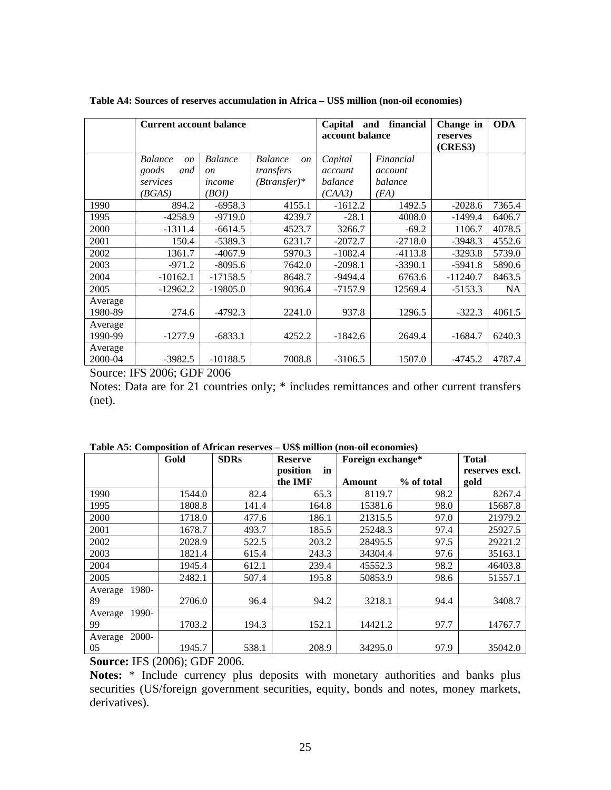|                    | <b>Current account balance</b>    |                |                                 | financial<br>Capital<br>and<br>account balance |           | Change in<br>reserves<br>(CRES3) | <b>ODA</b> |
|--------------------|-----------------------------------|----------------|---------------------------------|------------------------------------------------|-----------|----------------------------------|------------|
|                    | <b>Balance</b><br>$\mathfrak{O}n$ | <b>Balance</b> | <b>Balance</b><br><sub>on</sub> | Capital                                        | Financial |                                  |            |
|                    | goods<br>and                      | <sub>on</sub>  | transfers                       | account                                        | account   |                                  |            |
|                    | services                          | income         | $(Btransfer)*$                  | balance                                        | balance   |                                  |            |
|                    | (BGAS)                            | (BOI)          |                                 | (CAA3)                                         | (FA)      |                                  |            |
| 1990               | 894.2                             | $-6958.3$      | 4155.1                          | $-1612.2$                                      | 1492.5    | $-2028.6$                        | 7365.4     |
| 1995               | $-4258.9$                         | $-9719.0$      | 4239.7                          | $-28.1$                                        | 4008.0    | $-1499.4$                        | 6406.7     |
| 2000               | $-1311.4$                         | $-6614.5$      | 4523.7                          | 3266.7                                         | $-69.2$   | 1106.7                           | 4078.5     |
| 2001               | 150.4                             | $-5389.3$      | 6231.7                          | $-2072.7$                                      | $-2718.0$ | $-3948.3$                        | 4552.6     |
| 2002               | 1361.7                            | $-4067.9$      | 5970.3                          | $-1082.4$                                      | $-4113.8$ | $-3293.8$                        | 5739.0     |
| 2003               | $-971.2$                          | $-8095.6$      | 7642.0                          | $-2098.1$                                      | $-3390.1$ | $-5941.8$                        | 5890.6     |
| 2004               | $-10162.1$                        | $-17158.5$     | 8648.7                          | $-9494.4$                                      | 6763.6    | $-11240.7$                       | 8463.5     |
| 2005               | $-12962.2$                        | $-19805.0$     | 9036.4                          | $-7157.9$                                      | 12569.4   | $-5153.3$                        | <b>NA</b>  |
| Average<br>1980-89 | 274.6                             | $-4792.3$      | 2241.0                          | 937.8                                          | 1296.5    | $-322.3$                         | 4061.5     |
| Average<br>1990-99 | $-1277.9$                         | $-6833.1$      | 4252.2                          | $-1842.6$                                      | 2649.4    | $-1684.7$                        | 6240.3     |
| Average<br>2000-04 | -3982.5                           | $-10188.5$     | 7008.8                          | $-3106.5$                                      | 1507.0    | $-4745.2$                        | 4787.4     |

**Table A4: Sources of reserves accumulation in Africa – US\$ million (non-oil economies)**

Source: IFS 2006; GDF 2006

Notes: Data are for 21 countries only; \* includes remittances and other current transfers (net).

|                  | Gold   | <b>SDRs</b> | <b>Reserve</b> | Foreign exchange* |            | <b>Total</b>   |
|------------------|--------|-------------|----------------|-------------------|------------|----------------|
|                  |        |             | position<br>in |                   |            | reserves excl. |
|                  |        |             | the IMF        | Amount            | % of total | gold           |
| 1990             | 1544.0 | 82.4        | 65.3           | 8119.7            | 98.2       | 8267.4         |
| 1995             | 1808.8 | 141.4       | 164.8          | 15381.6           | 98.0       | 15687.8        |
| 2000             | 1718.0 | 477.6       | 186.1          | 21315.5           | 97.0       | 21979.2        |
| 2001             | 1678.7 | 493.7       | 185.5          | 25248.3           | 97.4       | 25927.5        |
| 2002             | 2028.9 | 522.5       | 203.2          | 28495.5           | 97.5       | 29221.2        |
| 2003             | 1821.4 | 615.4       | 243.3          | 34304.4           | 97.6       | 35163.1        |
| 2004             | 1945.4 | 612.1       | 239.4          | 45552.3           | 98.2       | 46403.8        |
| 2005             | 2482.1 | 507.4       | 195.8          | 50853.9           | 98.6       | 51557.1        |
| 1980-<br>Average |        |             |                |                   |            |                |
| 89               | 2706.0 | 96.4        | 94.2           | 3218.1            | 94.4       | 3408.7         |
| 1990-<br>Average |        |             |                |                   |            |                |
| 99               | 1703.2 | 194.3       | 152.1          | 14421.2           | 97.7       | 14767.7        |
| Average 2000-    |        |             |                |                   |            |                |
| 05               | 1945.7 | 538.1       | 208.9          | 34295.0           | 97.9       | 35042.0        |

**Table A5: Composition of African reserves – US\$ million (non-oil economies)**

**Source:** IFS (2006); GDF 2006.

**Notes:** \* Include currency plus deposits with monetary authorities and banks plus securities (US/foreign government securities, equity, bonds and notes, money markets, derivatives).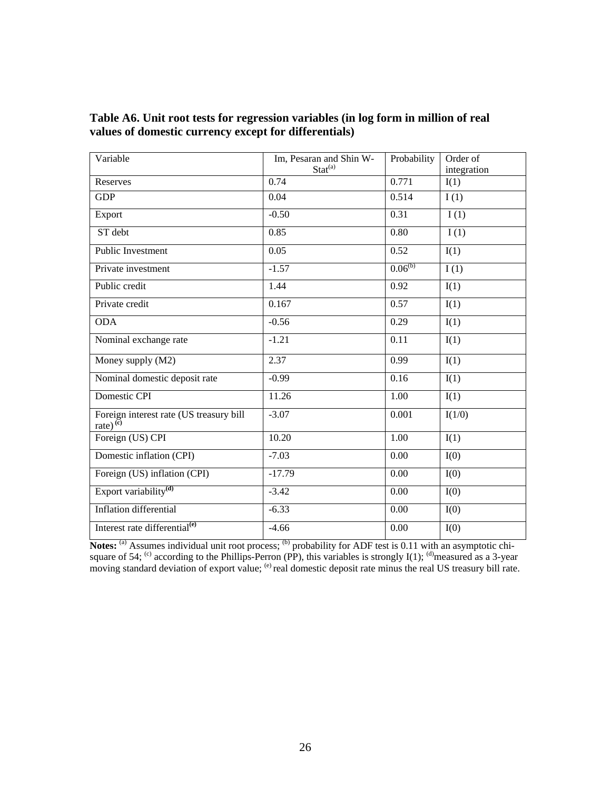| Variable                                                                  | Im, Pesaran and Shin W-     | Probability  | Order of    |
|---------------------------------------------------------------------------|-----------------------------|--------------|-------------|
|                                                                           | Stat <sup>(a)</sup><br>0.74 | 0.771        | integration |
| Reserves                                                                  |                             |              | I(1)        |
| <b>GDP</b>                                                                | 0.04                        | 0.514        | I(1)        |
| Export                                                                    | $-0.50$                     | 0.31         | I(1)        |
| ST debt                                                                   | 0.85                        | 0.80         | I(1)        |
| Public Investment                                                         | 0.05                        | 0.52         | I(1)        |
| Private investment                                                        | $-1.57$                     | $0.06^{(b)}$ | I(1)        |
| Public credit                                                             | 1.44                        | 0.92         | I(1)        |
| Private credit                                                            | 0.167                       | 0.57         | I(1)        |
| <b>ODA</b>                                                                | $-0.56$                     | 0.29         | I(1)        |
| Nominal exchange rate                                                     | $-1.21$                     | 0.11         | I(1)        |
| Money supply (M2)                                                         | 2.37                        | 0.99         | I(1)        |
| Nominal domestic deposit rate                                             | $-0.99$                     | 0.16         | I(1)        |
| Domestic CPI                                                              | 11.26                       | 1.00         | I(1)        |
| Foreign interest rate (US treasury bill<br>$\text{rate}$ ) <sup>(c)</sup> | $-3.07$                     | 0.001        | I(1/0)      |
| Foreign (US) CPI                                                          | 10.20                       | 1.00         | I(1)        |
| Domestic inflation (CPI)                                                  | $-7.03$                     | 0.00         | I(0)        |
| Foreign (US) inflation (CPI)                                              | $-17.79$                    | 0.00         | I(0)        |
| Export variability <sup>(d)</sup>                                         | $-3.42$                     | 0.00         | I(0)        |
| <b>Inflation</b> differential                                             | $-6.33$                     | 0.00         | I(0)        |
| Interest rate differential <sup>(e)</sup>                                 | $-4.66$                     | 0.00         | I(0)        |

| Table A6. Unit root tests for regression variables (in log form in million of real |  |
|------------------------------------------------------------------------------------|--|
| values of domestic currency except for differentials)                              |  |

Notes: <sup>(a)</sup> Assumes individual unit root process; <sup>(b)</sup> probability for ADF test is 0.11 with an asymptotic chisquare of 54; <sup>(c)</sup> according to the Phillips-Perron (PP), this variables is strongly I(1); <sup>(d)</sup>measured as a 3-year moving standard deviation of export value; <sup>(e)</sup> real domestic deposit rate minus the real US treasury bill rate.